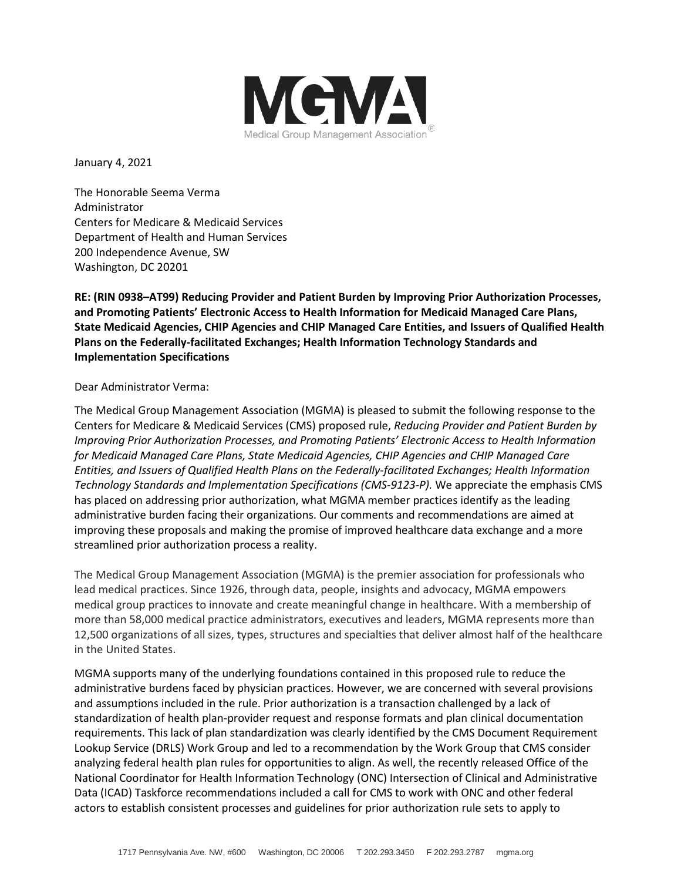

January 4, 2021

The Honorable Seema Verma Administrator Centers for Medicare & Medicaid Services Department of Health and Human Services 200 Independence Avenue, SW Washington, DC 20201

**RE: (RIN 0938–AT99) Reducing Provider and Patient Burden by Improving Prior Authorization Processes, and Promoting Patients' Electronic Access to Health Information for Medicaid Managed Care Plans, State Medicaid Agencies, CHIP Agencies and CHIP Managed Care Entities, and Issuers of Qualified Health Plans on the Federally-facilitated Exchanges; Health Information Technology Standards and Implementation Specifications**

# Dear Administrator Verma:

The Medical Group Management Association (MGMA) is pleased to submit the following response to the Centers for Medicare & Medicaid Services (CMS) proposed rule, *Reducing Provider and Patient Burden by Improving Prior Authorization Processes, and Promoting Patients' Electronic Access to Health Information for Medicaid Managed Care Plans, State Medicaid Agencies, CHIP Agencies and CHIP Managed Care Entities, and Issuers of Qualified Health Plans on the Federally-facilitated Exchanges; Health Information Technology Standards and Implementation Specifications (CMS-9123-P).* We appreciate the emphasis CMS has placed on addressing prior authorization, what MGMA member practices identify as the leading administrative burden facing their organizations. Our comments and recommendations are aimed at improving these proposals and making the promise of improved healthcare data exchange and a more streamlined prior authorization process a reality.

The Medical Group Management Association (MGMA) is the premier association for professionals who lead medical practices. Since 1926, through data, people, insights and advocacy, MGMA empowers medical group practices to innovate and create meaningful change in healthcare. With a membership of more than 58,000 medical practice administrators, executives and leaders, MGMA represents more than 12,500 organizations of all sizes, types, structures and specialties that deliver almost half of the healthcare in the United States.

MGMA supports many of the underlying foundations contained in this proposed rule to reduce the administrative burdens faced by physician practices. However, we are concerned with several provisions and assumptions included in the rule. Prior authorization is a transaction challenged by a lack of standardization of health plan-provider request and response formats and plan clinical documentation requirements. This lack of plan standardization was clearly identified by the CMS Document Requirement Lookup Service (DRLS) Work Group and led to a recommendation by the Work Group that CMS consider analyzing federal health plan rules for opportunities to align. As well, the recently released Office of the National Coordinator for Health Information Technology (ONC) Intersection of Clinical and Administrative Data (ICAD) Taskforce recommendations included a call for CMS to work with ONC and other federal actors to establish consistent processes and guidelines for prior authorization rule sets to apply to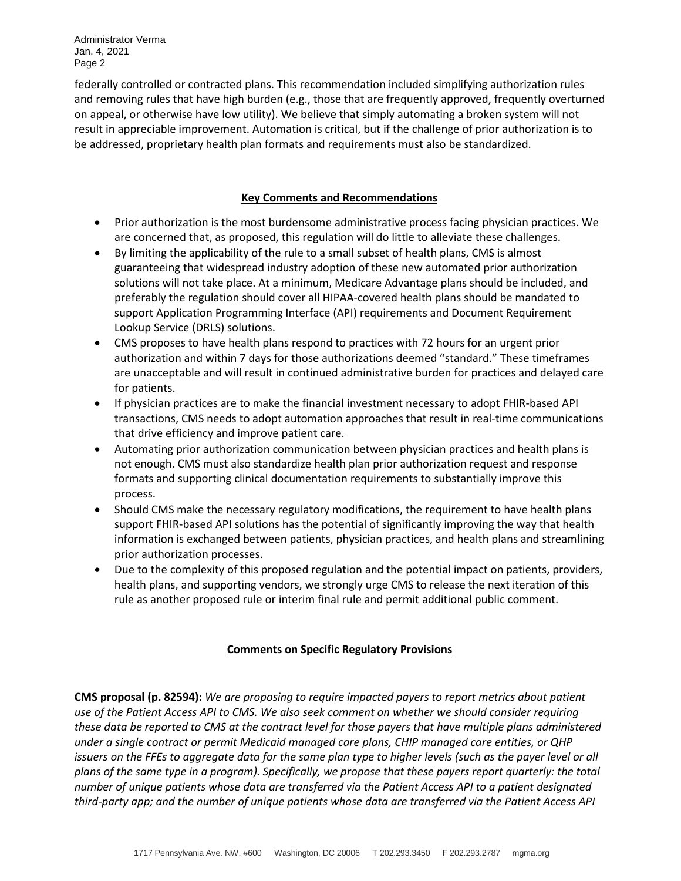federally controlled or contracted plans. This recommendation included simplifying authorization rules and removing rules that have high burden (e.g., those that are frequently approved, frequently overturned on appeal, or otherwise have low utility). We believe that simply automating a broken system will not result in appreciable improvement. Automation is critical, but if the challenge of prior authorization is to be addressed, proprietary health plan formats and requirements must also be standardized.

### **Key Comments and Recommendations**

- Prior authorization is the most burdensome administrative process facing physician practices. We are concerned that, as proposed, this regulation will do little to alleviate these challenges.
- By limiting the applicability of the rule to a small subset of health plans, CMS is almost guaranteeing that widespread industry adoption of these new automated prior authorization solutions will not take place. At a minimum, Medicare Advantage plans should be included, and preferably the regulation should cover all HIPAA-covered health plans should be mandated to support Application Programming Interface (API) requirements and Document Requirement Lookup Service (DRLS) solutions.
- CMS proposes to have health plans respond to practices with 72 hours for an urgent prior authorization and within 7 days for those authorizations deemed "standard." These timeframes are unacceptable and will result in continued administrative burden for practices and delayed care for patients.
- If physician practices are to make the financial investment necessary to adopt FHIR-based API transactions, CMS needs to adopt automation approaches that result in real-time communications that drive efficiency and improve patient care.
- Automating prior authorization communication between physician practices and health plans is not enough. CMS must also standardize health plan prior authorization request and response formats and supporting clinical documentation requirements to substantially improve this process.
- Should CMS make the necessary regulatory modifications, the requirement to have health plans support FHIR-based API solutions has the potential of significantly improving the way that health information is exchanged between patients, physician practices, and health plans and streamlining prior authorization processes.
- Due to the complexity of this proposed regulation and the potential impact on patients, providers, health plans, and supporting vendors, we strongly urge CMS to release the next iteration of this rule as another proposed rule or interim final rule and permit additional public comment.

# **Comments on Specific Regulatory Provisions**

**CMS proposal (p. 82594):** *We are proposing to require impacted payers to report metrics about patient use of the Patient Access API to CMS. We also seek comment on whether we should consider requiring these data be reported to CMS at the contract level for those payers that have multiple plans administered under a single contract or permit Medicaid managed care plans, CHIP managed care entities, or QHP issuers on the FFEs to aggregate data for the same plan type to higher levels (such as the payer level or all plans of the same type in a program). Specifically, we propose that these payers report quarterly: the total number of unique patients whose data are transferred via the Patient Access API to a patient designated third-party app; and the number of unique patients whose data are transferred via the Patient Access API*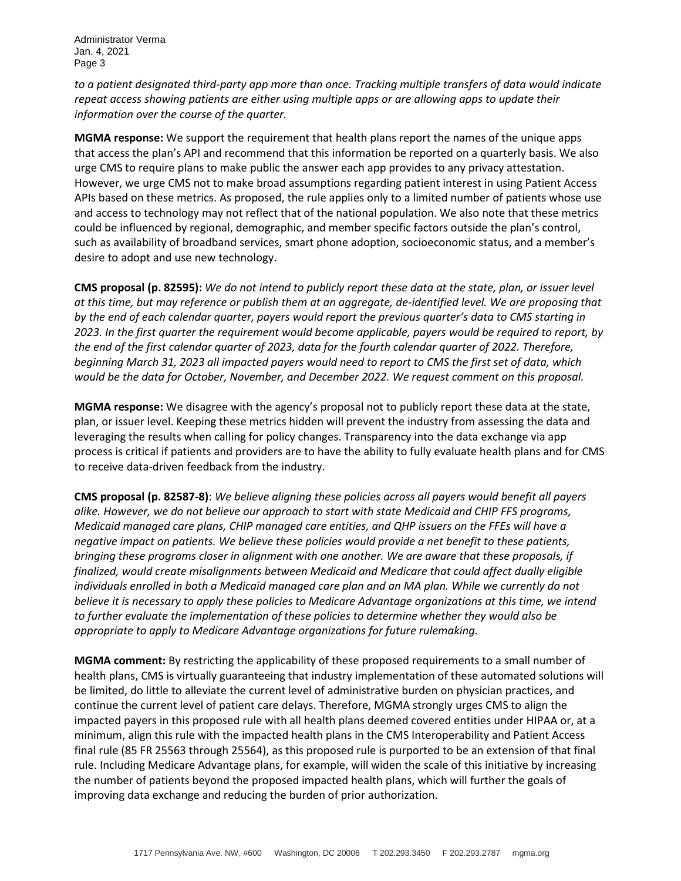*to a patient designated third-party app more than once. Tracking multiple transfers of data would indicate repeat access showing patients are either using multiple apps or are allowing apps to update their information over the course of the quarter.*

**MGMA response:** We support the requirement that health plans report the names of the unique apps that access the plan's API and recommend that this information be reported on a quarterly basis. We also urge CMS to require plans to make public the answer each app provides to any privacy attestation. However, we urge CMS not to make broad assumptions regarding patient interest in using Patient Access APIs based on these metrics. As proposed, the rule applies only to a limited number of patients whose use and access to technology may not reflect that of the national population. We also note that these metrics could be influenced by regional, demographic, and member specific factors outside the plan's control, such as availability of broadband services, smart phone adoption, socioeconomic status, and a member's desire to adopt and use new technology.

**CMS proposal (p. 82595):** *We do not intend to publicly report these data at the state, plan, or issuer level at this time, but may reference or publish them at an aggregate, de-identified level. We are proposing that by the end of each calendar quarter, payers would report the previous quarter's data to CMS starting in 2023. In the first quarter the requirement would become applicable, payers would be required to report, by the end of the first calendar quarter of 2023, data for the fourth calendar quarter of 2022. Therefore, beginning March 31, 2023 all impacted payers would need to report to CMS the first set of data, which would be the data for October, November, and December 2022. We request comment on this proposal.*

**MGMA response:** We disagree with the agency's proposal not to publicly report these data at the state, plan, or issuer level. Keeping these metrics hidden will prevent the industry from assessing the data and leveraging the results when calling for policy changes. Transparency into the data exchange via app process is critical if patients and providers are to have the ability to fully evaluate health plans and for CMS to receive data-driven feedback from the industry.

**CMS proposal (p. 82587-8)**: *We believe aligning these policies across all payers would benefit all payers alike. However, we do not believe our approach to start with state Medicaid and CHIP FFS programs, Medicaid managed care plans, CHIP managed care entities, and QHP issuers on the FFEs will have a negative impact on patients. We believe these policies would provide a net benefit to these patients, bringing these programs closer in alignment with one another. We are aware that these proposals, if finalized, would create misalignments between Medicaid and Medicare that could affect dually eligible individuals enrolled in both a Medicaid managed care plan and an MA plan. While we currently do not believe it is necessary to apply these policies to Medicare Advantage organizations at this time, we intend to further evaluate the implementation of these policies to determine whether they would also be appropriate to apply to Medicare Advantage organizations for future rulemaking.*

**MGMA comment:** By restricting the applicability of these proposed requirements to a small number of health plans, CMS is virtually guaranteeing that industry implementation of these automated solutions will be limited, do little to alleviate the current level of administrative burden on physician practices, and continue the current level of patient care delays. Therefore, MGMA strongly urges CMS to align the impacted payers in this proposed rule with all health plans deemed covered entities under HIPAA or, at a minimum, align this rule with the impacted health plans in the CMS Interoperability and Patient Access final rule (85 FR 25563 through 25564), as this proposed rule is purported to be an extension of that final rule. Including Medicare Advantage plans, for example, will widen the scale of this initiative by increasing the number of patients beyond the proposed impacted health plans, which will further the goals of improving data exchange and reducing the burden of prior authorization.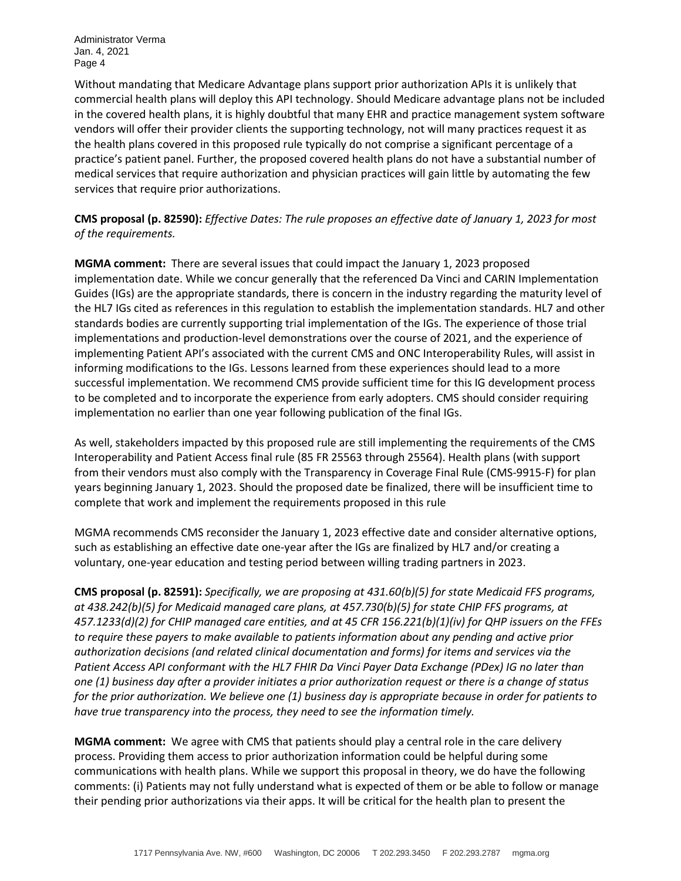Without mandating that Medicare Advantage plans support prior authorization APIs it is unlikely that commercial health plans will deploy this API technology. Should Medicare advantage plans not be included in the covered health plans, it is highly doubtful that many EHR and practice management system software vendors will offer their provider clients the supporting technology, not will many practices request it as the health plans covered in this proposed rule typically do not comprise a significant percentage of a practice's patient panel. Further, the proposed covered health plans do not have a substantial number of medical services that require authorization and physician practices will gain little by automating the few services that require prior authorizations.

**CMS proposal (p. 82590):** *Effective Dates: The rule proposes an effective date of January 1, 2023 for most of the requirements.*

**MGMA comment:** There are several issues that could impact the January 1, 2023 proposed implementation date. While we concur generally that the referenced Da Vinci and CARIN Implementation Guides (IGs) are the appropriate standards, there is concern in the industry regarding the maturity level of the HL7 IGs cited as references in this regulation to establish the implementation standards. HL7 and other standards bodies are currently supporting trial implementation of the IGs. The experience of those trial implementations and production-level demonstrations over the course of 2021, and the experience of implementing Patient API's associated with the current CMS and ONC Interoperability Rules, will assist in informing modifications to the IGs. Lessons learned from these experiences should lead to a more successful implementation. We recommend CMS provide sufficient time for this IG development process to be completed and to incorporate the experience from early adopters. CMS should consider requiring implementation no earlier than one year following publication of the final IGs.

As well, stakeholders impacted by this proposed rule are still implementing the requirements of the CMS Interoperability and Patient Access final rule (85 FR 25563 through 25564). Health plans (with support from their vendors must also comply with the Transparency in Coverage Final Rule (CMS-9915-F) for plan years beginning January 1, 2023. Should the proposed date be finalized, there will be insufficient time to complete that work and implement the requirements proposed in this rule

MGMA recommends CMS reconsider the January 1, 2023 effective date and consider alternative options, such as establishing an effective date one-year after the IGs are finalized by HL7 and/or creating a voluntary, one-year education and testing period between willing trading partners in 2023.

**CMS proposal (p. 82591):** *Specifically, we are proposing at 431.60(b)(5) for state Medicaid FFS programs, at 438.242(b)(5) for Medicaid managed care plans, at 457.730(b)(5) for state CHIP FFS programs, at 457.1233(d)(2) for CHIP managed care entities, and at 45 CFR 156.221(b)(1)(iv) for QHP issuers on the FFEs to require these payers to make available to patients information about any pending and active prior authorization decisions (and related clinical documentation and forms) for items and services via the Patient Access API conformant with the HL7 FHIR Da Vinci Payer Data Exchange (PDex) IG no later than one (1) business day after a provider initiates a prior authorization request or there is a change of status for the prior authorization. We believe one (1) business day is appropriate because in order for patients to have true transparency into the process, they need to see the information timely.*

**MGMA comment:** We agree with CMS that patients should play a central role in the care delivery process. Providing them access to prior authorization information could be helpful during some communications with health plans. While we support this proposal in theory, we do have the following comments: (i) Patients may not fully understand what is expected of them or be able to follow or manage their pending prior authorizations via their apps. It will be critical for the health plan to present the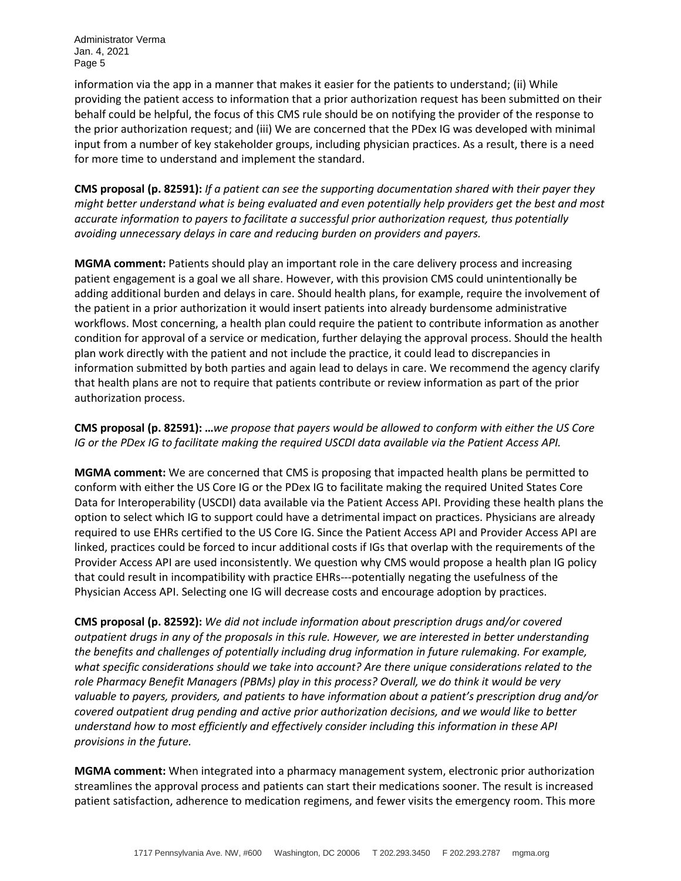information via the app in a manner that makes it easier for the patients to understand; (ii) While providing the patient access to information that a prior authorization request has been submitted on their behalf could be helpful, the focus of this CMS rule should be on notifying the provider of the response to the prior authorization request; and (iii) We are concerned that the PDex IG was developed with minimal input from a number of key stakeholder groups, including physician practices. As a result, there is a need for more time to understand and implement the standard.

**CMS proposal (p. 82591):** *If a patient can see the supporting documentation shared with their payer they might better understand what is being evaluated and even potentially help providers get the best and most accurate information to payers to facilitate a successful prior authorization request, thus potentially avoiding unnecessary delays in care and reducing burden on providers and payers.*

**MGMA comment:** Patients should play an important role in the care delivery process and increasing patient engagement is a goal we all share. However, with this provision CMS could unintentionally be adding additional burden and delays in care. Should health plans, for example, require the involvement of the patient in a prior authorization it would insert patients into already burdensome administrative workflows. Most concerning, a health plan could require the patient to contribute information as another condition for approval of a service or medication, further delaying the approval process. Should the health plan work directly with the patient and not include the practice, it could lead to discrepancies in information submitted by both parties and again lead to delays in care. We recommend the agency clarify that health plans are not to require that patients contribute or review information as part of the prior authorization process.

**CMS proposal (p. 82591): …***we propose that payers would be allowed to conform with either the US Core IG or the PDex IG to facilitate making the required USCDI data available via the Patient Access API.*

**MGMA comment:** We are concerned that CMS is proposing that impacted health plans be permitted to conform with either the US Core IG or the PDex IG to facilitate making the required United States Core Data for Interoperability (USCDI) data available via the Patient Access API. Providing these health plans the option to select which IG to support could have a detrimental impact on practices. Physicians are already required to use EHRs certified to the US Core IG. Since the Patient Access API and Provider Access API are linked, practices could be forced to incur additional costs if IGs that overlap with the requirements of the Provider Access API are used inconsistently. We question why CMS would propose a health plan IG policy that could result in incompatibility with practice EHRs---potentially negating the usefulness of the Physician Access API. Selecting one IG will decrease costs and encourage adoption by practices.

**CMS proposal (p. 82592):** *We did not include information about prescription drugs and/or covered outpatient drugs in any of the proposals in this rule. However, we are interested in better understanding the benefits and challenges of potentially including drug information in future rulemaking. For example, what specific considerations should we take into account? Are there unique considerations related to the role Pharmacy Benefit Managers (PBMs) play in this process? Overall, we do think it would be very valuable to payers, providers, and patients to have information about a patient's prescription drug and/or covered outpatient drug pending and active prior authorization decisions, and we would like to better understand how to most efficiently and effectively consider including this information in these API provisions in the future.*

**MGMA comment:** When integrated into a pharmacy management system, electronic prior authorization streamlines the approval process and patients can start their medications sooner. The result is increased patient satisfaction, adherence to medication regimens, and fewer visits the emergency room. This more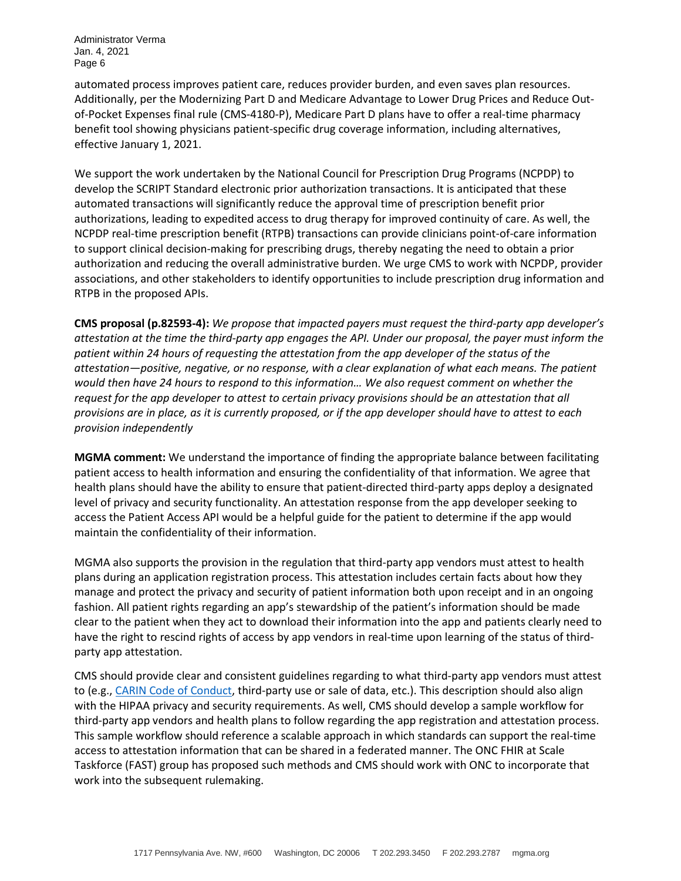automated process improves patient care, reduces provider burden, and even saves plan resources. Additionally, per the Modernizing Part D and Medicare Advantage to Lower Drug Prices and Reduce Outof-Pocket Expenses final rule (CMS-4180-P), Medicare Part D plans have to offer a real-time pharmacy benefit tool showing physicians patient-specific drug coverage information, including alternatives, effective January 1, 2021.

We support the work undertaken by the National Council for Prescription Drug Programs (NCPDP) to develop the SCRIPT Standard electronic prior authorization transactions. It is anticipated that these automated transactions will significantly reduce the approval time of prescription benefit prior authorizations, leading to expedited access to drug therapy for improved continuity of care. As well, the NCPDP real-time prescription benefit (RTPB) transactions can provide clinicians point-of-care information to support clinical decision-making for prescribing drugs, thereby negating the need to obtain a prior authorization and reducing the overall administrative burden. We urge CMS to work with NCPDP, provider associations, and other stakeholders to identify opportunities to include prescription drug information and RTPB in the proposed APIs.

**CMS proposal (p.82593-4):** *We propose that impacted payers must request the third-party app developer's attestation at the time the third-party app engages the API. Under our proposal, the payer must inform the patient within 24 hours of requesting the attestation from the app developer of the status of the attestation—positive, negative, or no response, with a clear explanation of what each means. The patient would then have 24 hours to respond to this information… We also request comment on whether the request for the app developer to attest to certain privacy provisions should be an attestation that all provisions are in place, as it is currently proposed, or if the app developer should have to attest to each provision independently*

**MGMA comment:** We understand the importance of finding the appropriate balance between facilitating patient access to health information and ensuring the confidentiality of that information. We agree that health plans should have the ability to ensure that patient-directed third-party apps deploy a designated level of privacy and security functionality. An attestation response from the app developer seeking to access the Patient Access API would be a helpful guide for the patient to determine if the app would maintain the confidentiality of their information.

MGMA also supports the provision in the regulation that third-party app vendors must attest to health plans during an application registration process. This attestation includes certain facts about how they manage and protect the privacy and security of patient information both upon receipt and in an ongoing fashion. All patient rights regarding an app's stewardship of the patient's information should be made clear to the patient when they act to download their information into the app and patients clearly need to have the right to rescind rights of access by app vendors in real-time upon learning of the status of thirdparty app attestation.

CMS should provide clear and consistent guidelines regarding to what third-party app vendors must attest to (e.g.[, CARIN Code of Conduct,](https://www.carinalliance.com/our-work/trust-framework-and-code-of-conduct/) third-party use or sale of data, etc.). This description should also align with the HIPAA privacy and security requirements. As well, CMS should develop a sample workflow for third-party app vendors and health plans to follow regarding the app registration and attestation process. This sample workflow should reference a scalable approach in which standards can support the real-time access to attestation information that can be shared in a federated manner. The ONC FHIR at Scale Taskforce (FAST) group has proposed such methods and CMS should work with ONC to incorporate that work into the subsequent rulemaking.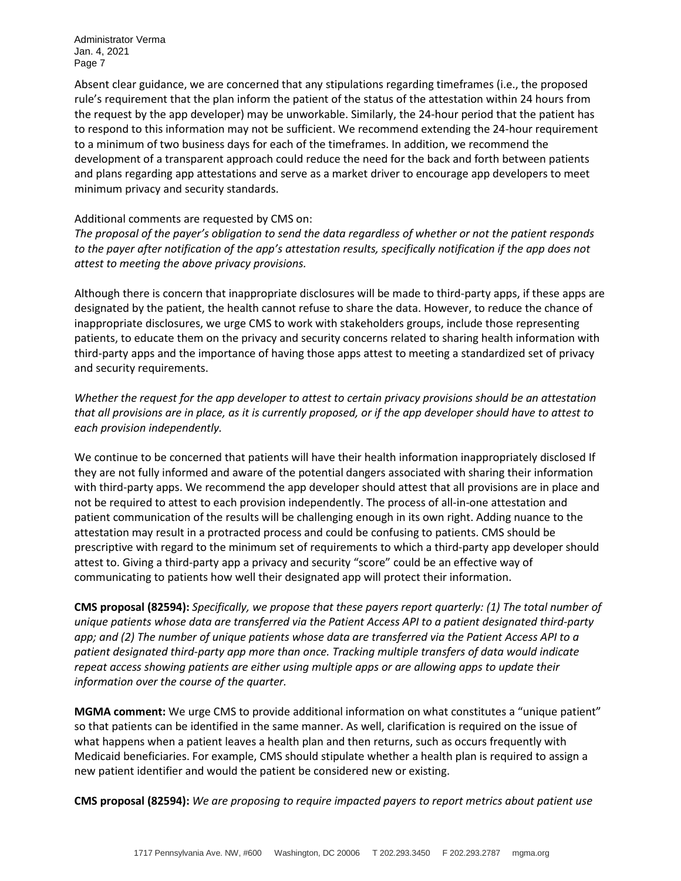Absent clear guidance, we are concerned that any stipulations regarding timeframes (i.e., the proposed rule's requirement that the plan inform the patient of the status of the attestation within 24 hours from the request by the app developer) may be unworkable. Similarly, the 24-hour period that the patient has to respond to this information may not be sufficient. We recommend extending the 24-hour requirement to a minimum of two business days for each of the timeframes. In addition, we recommend the development of a transparent approach could reduce the need for the back and forth between patients and plans regarding app attestations and serve as a market driver to encourage app developers to meet minimum privacy and security standards.

### Additional comments are requested by CMS on:

*The proposal of the payer's obligation to send the data regardless of whether or not the patient responds to the payer after notification of the app's attestation results, specifically notification if the app does not attest to meeting the above privacy provisions.*

Although there is concern that inappropriate disclosures will be made to third-party apps, if these apps are designated by the patient, the health cannot refuse to share the data. However, to reduce the chance of inappropriate disclosures, we urge CMS to work with stakeholders groups, include those representing patients, to educate them on the privacy and security concerns related to sharing health information with third-party apps and the importance of having those apps attest to meeting a standardized set of privacy and security requirements.

*Whether the request for the app developer to attest to certain privacy provisions should be an attestation that all provisions are in place, as it is currently proposed, or if the app developer should have to attest to each provision independently.*

We continue to be concerned that patients will have their health information inappropriately disclosed If they are not fully informed and aware of the potential dangers associated with sharing their information with third-party apps. We recommend the app developer should attest that all provisions are in place and not be required to attest to each provision independently. The process of all-in-one attestation and patient communication of the results will be challenging enough in its own right. Adding nuance to the attestation may result in a protracted process and could be confusing to patients. CMS should be prescriptive with regard to the minimum set of requirements to which a third-party app developer should attest to. Giving a third-party app a privacy and security "score" could be an effective way of communicating to patients how well their designated app will protect their information.

**CMS proposal (82594):** *Specifically, we propose that these payers report quarterly: (1) The total number of unique patients whose data are transferred via the Patient Access API to a patient designated third-party app; and (2) The number of unique patients whose data are transferred via the Patient Access API to a patient designated third-party app more than once. Tracking multiple transfers of data would indicate repeat access showing patients are either using multiple apps or are allowing apps to update their information over the course of the quarter.*

**MGMA comment:** We urge CMS to provide additional information on what constitutes a "unique patient" so that patients can be identified in the same manner. As well, clarification is required on the issue of what happens when a patient leaves a health plan and then returns, such as occurs frequently with Medicaid beneficiaries. For example, CMS should stipulate whether a health plan is required to assign a new patient identifier and would the patient be considered new or existing.

**CMS proposal (82594):** *We are proposing to require impacted payers to report metrics about patient use*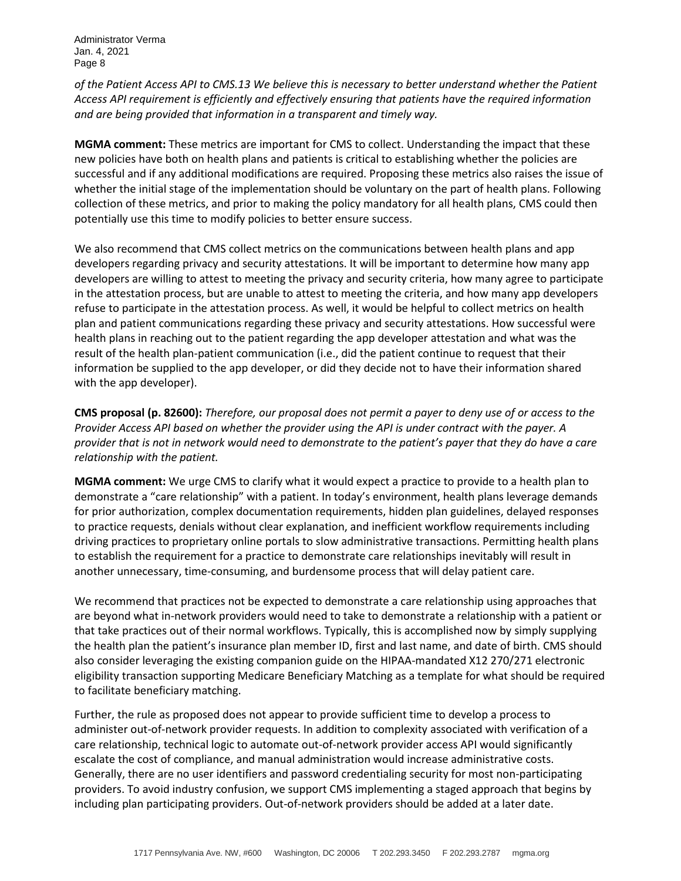*of the Patient Access API to CMS.13 We believe this is necessary to better understand whether the Patient Access API requirement is efficiently and effectively ensuring that patients have the required information and are being provided that information in a transparent and timely way.*

**MGMA comment:** These metrics are important for CMS to collect. Understanding the impact that these new policies have both on health plans and patients is critical to establishing whether the policies are successful and if any additional modifications are required. Proposing these metrics also raises the issue of whether the initial stage of the implementation should be voluntary on the part of health plans. Following collection of these metrics, and prior to making the policy mandatory for all health plans, CMS could then potentially use this time to modify policies to better ensure success.

We also recommend that CMS collect metrics on the communications between health plans and app developers regarding privacy and security attestations. It will be important to determine how many app developers are willing to attest to meeting the privacy and security criteria, how many agree to participate in the attestation process, but are unable to attest to meeting the criteria, and how many app developers refuse to participate in the attestation process. As well, it would be helpful to collect metrics on health plan and patient communications regarding these privacy and security attestations. How successful were health plans in reaching out to the patient regarding the app developer attestation and what was the result of the health plan-patient communication (i.e., did the patient continue to request that their information be supplied to the app developer, or did they decide not to have their information shared with the app developer).

**CMS proposal (p. 82600):** *Therefore, our proposal does not permit a payer to deny use of or access to the Provider Access API based on whether the provider using the API is under contract with the payer. A provider that is not in network would need to demonstrate to the patient's payer that they do have a care relationship with the patient.*

**MGMA comment:** We urge CMS to clarify what it would expect a practice to provide to a health plan to demonstrate a "care relationship" with a patient. In today's environment, health plans leverage demands for prior authorization, complex documentation requirements, hidden plan guidelines, delayed responses to practice requests, denials without clear explanation, and inefficient workflow requirements including driving practices to proprietary online portals to slow administrative transactions. Permitting health plans to establish the requirement for a practice to demonstrate care relationships inevitably will result in another unnecessary, time-consuming, and burdensome process that will delay patient care.

We recommend that practices not be expected to demonstrate a care relationship using approaches that are beyond what in-network providers would need to take to demonstrate a relationship with a patient or that take practices out of their normal workflows. Typically, this is accomplished now by simply supplying the health plan the patient's insurance plan member ID, first and last name, and date of birth. CMS should also consider leveraging the existing companion guide on the HIPAA-mandated X12 270/271 electronic eligibility transaction supporting Medicare Beneficiary Matching as a template for what should be required to facilitate beneficiary matching.

Further, the rule as proposed does not appear to provide sufficient time to develop a process to administer out-of-network provider requests. In addition to complexity associated with verification of a care relationship, technical logic to automate out-of-network provider access API would significantly escalate the cost of compliance, and manual administration would increase administrative costs. Generally, there are no user identifiers and password credentialing security for most non-participating providers. To avoid industry confusion, we support CMS implementing a staged approach that begins by including plan participating providers. Out-of-network providers should be added at a later date.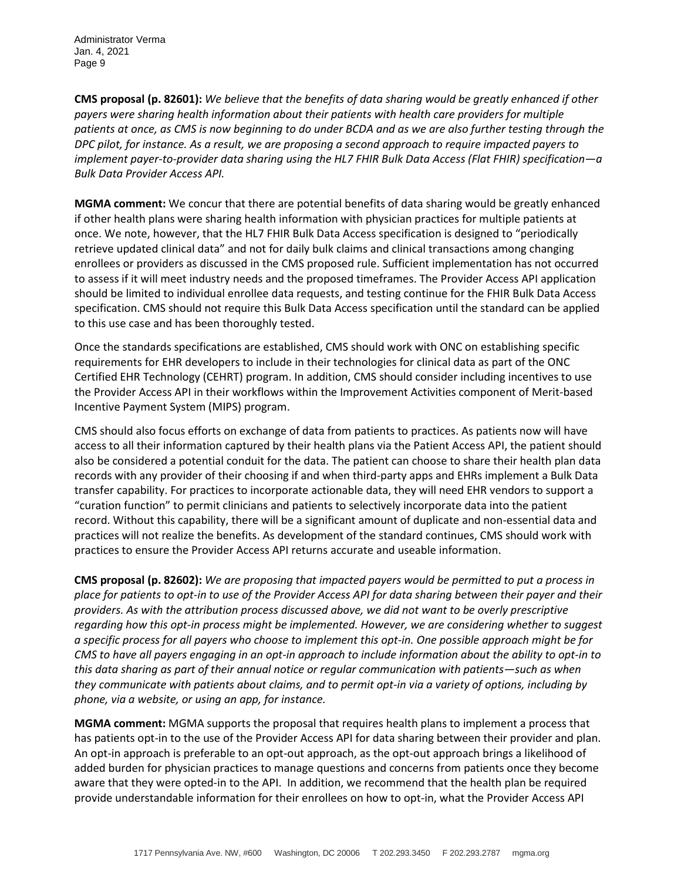**CMS proposal (p. 82601):** *We believe that the benefits of data sharing would be greatly enhanced if other payers were sharing health information about their patients with health care providers for multiple patients at once, as CMS is now beginning to do under BCDA and as we are also further testing through the DPC pilot, for instance. As a result, we are proposing a second approach to require impacted payers to implement payer-to-provider data sharing using the HL7 FHIR Bulk Data Access (Flat FHIR) specification—a Bulk Data Provider Access API.*

**MGMA comment:** We concur that there are potential benefits of data sharing would be greatly enhanced if other health plans were sharing health information with physician practices for multiple patients at once. We note, however, that the HL7 FHIR Bulk Data Access specification is designed to "periodically retrieve updated clinical data" and not for daily bulk claims and clinical transactions among changing enrollees or providers as discussed in the CMS proposed rule. Sufficient implementation has not occurred to assess if it will meet industry needs and the proposed timeframes. The Provider Access API application should be limited to individual enrollee data requests, and testing continue for the FHIR Bulk Data Access specification. CMS should not require this Bulk Data Access specification until the standard can be applied to this use case and has been thoroughly tested.

Once the standards specifications are established, CMS should work with ONC on establishing specific requirements for EHR developers to include in their technologies for clinical data as part of the ONC Certified EHR Technology (CEHRT) program. In addition, CMS should consider including incentives to use the Provider Access API in their workflows within the Improvement Activities component of Merit-based Incentive Payment System (MIPS) program.

CMS should also focus efforts on exchange of data from patients to practices. As patients now will have access to all their information captured by their health plans via the Patient Access API, the patient should also be considered a potential conduit for the data. The patient can choose to share their health plan data records with any provider of their choosing if and when third-party apps and EHRs implement a Bulk Data transfer capability. For practices to incorporate actionable data, they will need EHR vendors to support a "curation function" to permit clinicians and patients to selectively incorporate data into the patient record. Without this capability, there will be a significant amount of duplicate and non-essential data and practices will not realize the benefits. As development of the standard continues, CMS should work with practices to ensure the Provider Access API returns accurate and useable information.

**CMS proposal (p. 82602):** *We are proposing that impacted payers would be permitted to put a process in place for patients to opt-in to use of the Provider Access API for data sharing between their payer and their providers. As with the attribution process discussed above, we did not want to be overly prescriptive regarding how this opt-in process might be implemented. However, we are considering whether to suggest a specific process for all payers who choose to implement this opt-in. One possible approach might be for CMS to have all payers engaging in an opt-in approach to include information about the ability to opt-in to this data sharing as part of their annual notice or regular communication with patients—such as when they communicate with patients about claims, and to permit opt-in via a variety of options, including by phone, via a website, or using an app, for instance.*

**MGMA comment:** MGMA supports the proposal that requires health plans to implement a process that has patients opt-in to the use of the Provider Access API for data sharing between their provider and plan. An opt-in approach is preferable to an opt-out approach, as the opt-out approach brings a likelihood of added burden for physician practices to manage questions and concerns from patients once they become aware that they were opted-in to the API. In addition, we recommend that the health plan be required provide understandable information for their enrollees on how to opt-in, what the Provider Access API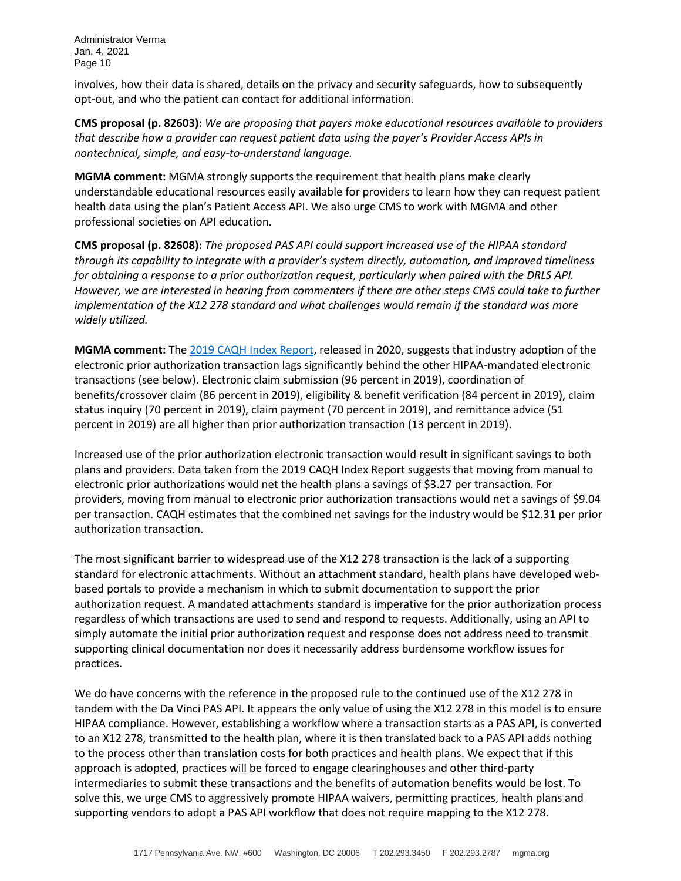involves, how their data is shared, details on the privacy and security safeguards, how to subsequently opt-out, and who the patient can contact for additional information.

**CMS proposal (p. 82603):** *We are proposing that payers make educational resources available to providers that describe how a provider can request patient data using the payer's Provider Access APIs in nontechnical, simple, and easy-to-understand language.*

**MGMA comment:** MGMA strongly supports the requirement that health plans make clearly understandable educational resources easily available for providers to learn how they can request patient health data using the plan's Patient Access API. We also urge CMS to work with MGMA and other professional societies on API education.

**CMS proposal (p. 82608):** *The proposed PAS API could support increased use of the HIPAA standard through its capability to integrate with a provider's system directly, automation, and improved timeliness for obtaining a response to a prior authorization request, particularly when paired with the DRLS API. However, we are interested in hearing from commenters if there are other steps CMS could take to further implementation of the X12 278 standard and what challenges would remain if the standard was more widely utilized.*

**MGMA comment:** Th[e 2019 CAQH Index Report,](https://www.caqh.org/sites/default/files/explorations/index/report/2019-caqh-index.pdf?token=SP6YxT4u) released in 2020, suggests that industry adoption of the electronic prior authorization transaction lags significantly behind the other HIPAA-mandated electronic transactions (see below). Electronic claim submission (96 percent in 2019), coordination of benefits/crossover claim (86 percent in 2019), eligibility & benefit verification (84 percent in 2019), claim status inquiry (70 percent in 2019), claim payment (70 percent in 2019), and remittance advice (51 percent in 2019) are all higher than prior authorization transaction (13 percent in 2019).

Increased use of the prior authorization electronic transaction would result in significant savings to both plans and providers. Data taken from the 2019 CAQH Index Report suggests that moving from manual to electronic prior authorizations would net the health plans a savings of \$3.27 per transaction. For providers, moving from manual to electronic prior authorization transactions would net a savings of \$9.04 per transaction. CAQH estimates that the combined net savings for the industry would be \$12.31 per prior authorization transaction.

The most significant barrier to widespread use of the X12 278 transaction is the lack of a supporting standard for electronic attachments. Without an attachment standard, health plans have developed webbased portals to provide a mechanism in which to submit documentation to support the prior authorization request. A mandated attachments standard is imperative for the prior authorization process regardless of which transactions are used to send and respond to requests. Additionally, using an API to simply automate the initial prior authorization request and response does not address need to transmit supporting clinical documentation nor does it necessarily address burdensome workflow issues for practices.

We do have concerns with the reference in the proposed rule to the continued use of the X12 278 in tandem with the Da Vinci PAS API. It appears the only value of using the X12 278 in this model is to ensure HIPAA compliance. However, establishing a workflow where a transaction starts as a PAS API, is converted to an X12 278, transmitted to the health plan, where it is then translated back to a PAS API adds nothing to the process other than translation costs for both practices and health plans. We expect that if this approach is adopted, practices will be forced to engage clearinghouses and other third-party intermediaries to submit these transactions and the benefits of automation benefits would be lost. To solve this, we urge CMS to aggressively promote HIPAA waivers, permitting practices, health plans and supporting vendors to adopt a PAS API workflow that does not require mapping to the X12 278.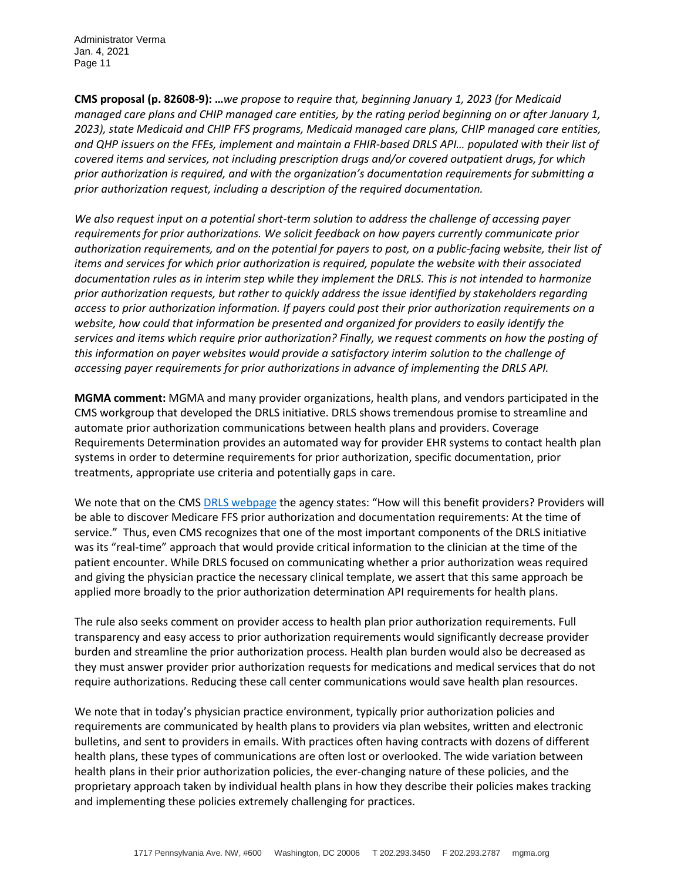**CMS proposal (p. 82608-9): …***we propose to require that, beginning January 1, 2023 (for Medicaid managed care plans and CHIP managed care entities, by the rating period beginning on or after January 1, 2023), state Medicaid and CHIP FFS programs, Medicaid managed care plans, CHIP managed care entities, and QHP issuers on the FFEs, implement and maintain a FHIR-based DRLS API… populated with their list of covered items and services, not including prescription drugs and/or covered outpatient drugs, for which prior authorization is required, and with the organization's documentation requirements for submitting a prior authorization request, including a description of the required documentation.*

*We also request input on a potential short-term solution to address the challenge of accessing payer requirements for prior authorizations. We solicit feedback on how payers currently communicate prior authorization requirements, and on the potential for payers to post, on a public-facing website, their list of items and services for which prior authorization is required, populate the website with their associated documentation rules as in interim step while they implement the DRLS. This is not intended to harmonize prior authorization requests, but rather to quickly address the issue identified by stakeholders regarding access to prior authorization information. If payers could post their prior authorization requirements on a website, how could that information be presented and organized for providers to easily identify the services and items which require prior authorization? Finally, we request comments on how the posting of this information on payer websites would provide a satisfactory interim solution to the challenge of accessing payer requirements for prior authorizations in advance of implementing the DRLS API.*

**MGMA comment:** MGMA and many provider organizations, health plans, and vendors participated in the CMS workgroup that developed the DRLS initiative. DRLS shows tremendous promise to streamline and automate prior authorization communications between health plans and providers. Coverage Requirements Determination provides an automated way for provider EHR systems to contact health plan systems in order to determine requirements for prior authorization, specific documentation, prior treatments, appropriate use criteria and potentially gaps in care.

We note that on the CMS [DRLS webpage](https://www.cms.gov/Research-Statistics-Data-and-Systems/Monitoring-Programs/Medicare-FFS-Compliance-Programs/LookupServiceInitiative) the agency states: "How will this benefit providers? Providers will be able to discover Medicare FFS prior authorization and documentation requirements: At the time of service." Thus, even CMS recognizes that one of the most important components of the DRLS initiative was its "real-time" approach that would provide critical information to the clinician at the time of the patient encounter. While DRLS focused on communicating whether a prior authorization weas required and giving the physician practice the necessary clinical template, we assert that this same approach be applied more broadly to the prior authorization determination API requirements for health plans.

The rule also seeks comment on provider access to health plan prior authorization requirements. Full transparency and easy access to prior authorization requirements would significantly decrease provider burden and streamline the prior authorization process. Health plan burden would also be decreased as they must answer provider prior authorization requests for medications and medical services that do not require authorizations. Reducing these call center communications would save health plan resources.

We note that in today's physician practice environment, typically prior authorization policies and requirements are communicated by health plans to providers via plan websites, written and electronic bulletins, and sent to providers in emails. With practices often having contracts with dozens of different health plans, these types of communications are often lost or overlooked. The wide variation between health plans in their prior authorization policies, the ever-changing nature of these policies, and the proprietary approach taken by individual health plans in how they describe their policies makes tracking and implementing these policies extremely challenging for practices.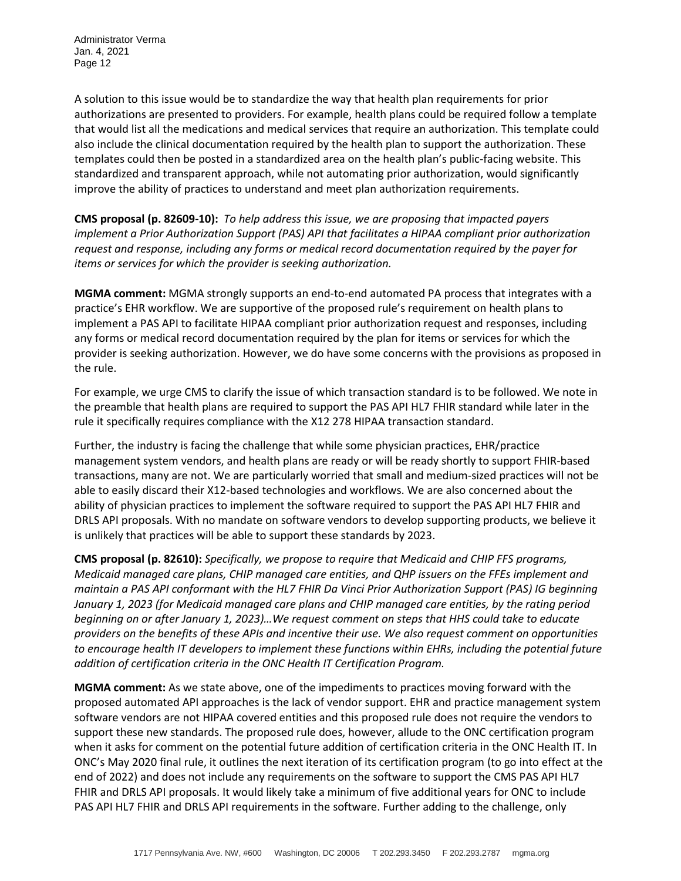A solution to this issue would be to standardize the way that health plan requirements for prior authorizations are presented to providers. For example, health plans could be required follow a template that would list all the medications and medical services that require an authorization. This template could also include the clinical documentation required by the health plan to support the authorization. These templates could then be posted in a standardized area on the health plan's public-facing website. This standardized and transparent approach, while not automating prior authorization, would significantly improve the ability of practices to understand and meet plan authorization requirements.

**CMS proposal (p. 82609-10):** *To help address this issue, we are proposing that impacted payers implement a Prior Authorization Support (PAS) API that facilitates a HIPAA compliant prior authorization request and response, including any forms or medical record documentation required by the payer for items or services for which the provider is seeking authorization.*

**MGMA comment:** MGMA strongly supports an end-to-end automated PA process that integrates with a practice's EHR workflow. We are supportive of the proposed rule's requirement on health plans to implement a PAS API to facilitate HIPAA compliant prior authorization request and responses, including any forms or medical record documentation required by the plan for items or services for which the provider is seeking authorization. However, we do have some concerns with the provisions as proposed in the rule.

For example, we urge CMS to clarify the issue of which transaction standard is to be followed. We note in the preamble that health plans are required to support the PAS API HL7 FHIR standard while later in the rule it specifically requires compliance with the X12 278 HIPAA transaction standard.

Further, the industry is facing the challenge that while some physician practices, EHR/practice management system vendors, and health plans are ready or will be ready shortly to support FHIR-based transactions, many are not. We are particularly worried that small and medium-sized practices will not be able to easily discard their X12-based technologies and workflows. We are also concerned about the ability of physician practices to implement the software required to support the PAS API HL7 FHIR and DRLS API proposals. With no mandate on software vendors to develop supporting products, we believe it is unlikely that practices will be able to support these standards by 2023.

**CMS proposal (p. 82610):** *Specifically, we propose to require that Medicaid and CHIP FFS programs, Medicaid managed care plans, CHIP managed care entities, and QHP issuers on the FFEs implement and maintain a PAS API conformant with the HL7 FHIR Da Vinci Prior Authorization Support (PAS) IG beginning January 1, 2023 (for Medicaid managed care plans and CHIP managed care entities, by the rating period beginning on or after January 1, 2023)…We request comment on steps that HHS could take to educate providers on the benefits of these APIs and incentive their use. We also request comment on opportunities to encourage health IT developers to implement these functions within EHRs, including the potential future addition of certification criteria in the ONC Health IT Certification Program.*

**MGMA comment:** As we state above, one of the impediments to practices moving forward with the proposed automated API approaches is the lack of vendor support. EHR and practice management system software vendors are not HIPAA covered entities and this proposed rule does not require the vendors to support these new standards. The proposed rule does, however, allude to the ONC certification program when it asks for comment on the potential future addition of certification criteria in the ONC Health IT. In ONC's May 2020 final rule, it outlines the next iteration of its certification program (to go into effect at the end of 2022) and does not include any requirements on the software to support the CMS PAS API HL7 FHIR and DRLS API proposals. It would likely take a minimum of five additional years for ONC to include PAS API HL7 FHIR and DRLS API requirements in the software. Further adding to the challenge, only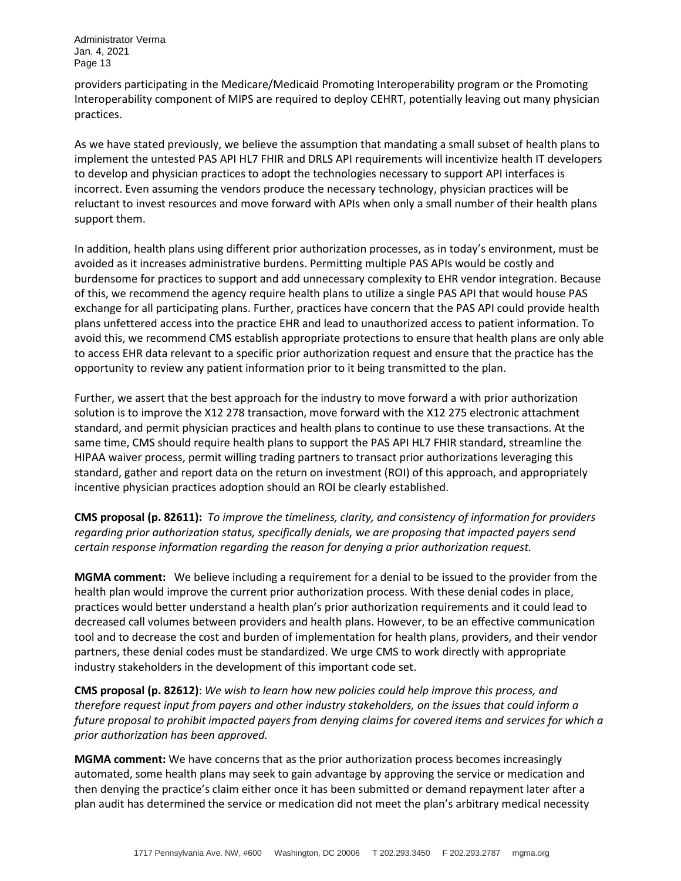providers participating in the Medicare/Medicaid Promoting Interoperability program or the Promoting Interoperability component of MIPS are required to deploy CEHRT, potentially leaving out many physician practices.

As we have stated previously, we believe the assumption that mandating a small subset of health plans to implement the untested PAS API HL7 FHIR and DRLS API requirements will incentivize health IT developers to develop and physician practices to adopt the technologies necessary to support API interfaces is incorrect. Even assuming the vendors produce the necessary technology, physician practices will be reluctant to invest resources and move forward with APIs when only a small number of their health plans support them.

In addition, health plans using different prior authorization processes, as in today's environment, must be avoided as it increases administrative burdens. Permitting multiple PAS APIs would be costly and burdensome for practices to support and add unnecessary complexity to EHR vendor integration. Because of this, we recommend the agency require health plans to utilize a single PAS API that would house PAS exchange for all participating plans. Further, practices have concern that the PAS API could provide health plans unfettered access into the practice EHR and lead to unauthorized access to patient information. To avoid this, we recommend CMS establish appropriate protections to ensure that health plans are only able to access EHR data relevant to a specific prior authorization request and ensure that the practice has the opportunity to review any patient information prior to it being transmitted to the plan.

Further, we assert that the best approach for the industry to move forward a with prior authorization solution is to improve the X12 278 transaction, move forward with the X12 275 electronic attachment standard, and permit physician practices and health plans to continue to use these transactions. At the same time, CMS should require health plans to support the PAS API HL7 FHIR standard, streamline the HIPAA waiver process, permit willing trading partners to transact prior authorizations leveraging this standard, gather and report data on the return on investment (ROI) of this approach, and appropriately incentive physician practices adoption should an ROI be clearly established.

**CMS proposal (p. 82611):** *To improve the timeliness, clarity, and consistency of information for providers regarding prior authorization status, specifically denials, we are proposing that impacted payers send certain response information regarding the reason for denying a prior authorization request.*

**MGMA comment:** We believe including a requirement for a denial to be issued to the provider from the health plan would improve the current prior authorization process. With these denial codes in place, practices would better understand a health plan's prior authorization requirements and it could lead to decreased call volumes between providers and health plans. However, to be an effective communication tool and to decrease the cost and burden of implementation for health plans, providers, and their vendor partners, these denial codes must be standardized. We urge CMS to work directly with appropriate industry stakeholders in the development of this important code set.

**CMS proposal (p. 82612)**: *We wish to learn how new policies could help improve this process, and therefore request input from payers and other industry stakeholders, on the issues that could inform a future proposal to prohibit impacted payers from denying claims for covered items and services for which a prior authorization has been approved.*

**MGMA comment:** We have concerns that as the prior authorization process becomes increasingly automated, some health plans may seek to gain advantage by approving the service or medication and then denying the practice's claim either once it has been submitted or demand repayment later after a plan audit has determined the service or medication did not meet the plan's arbitrary medical necessity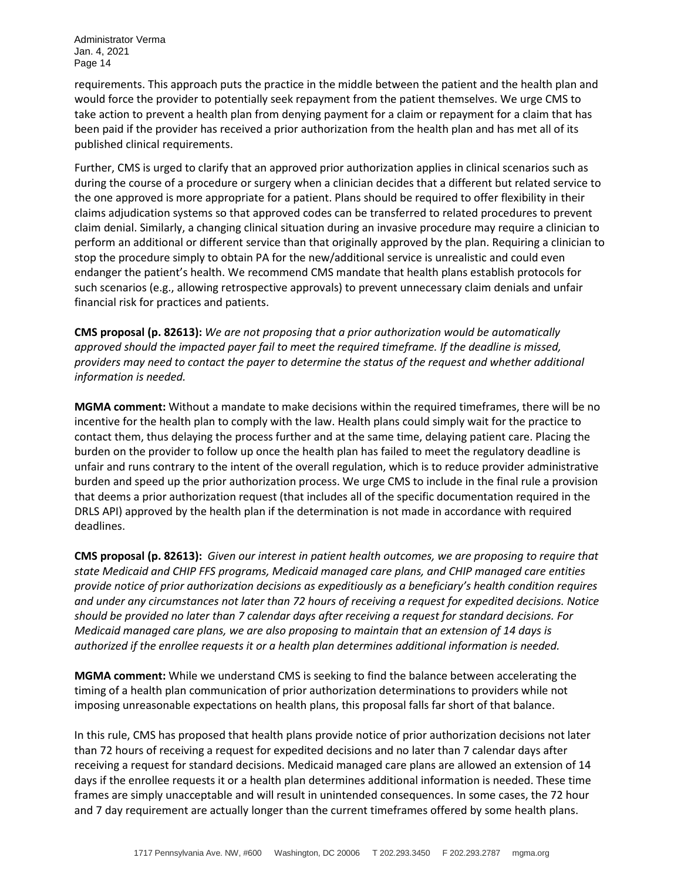requirements. This approach puts the practice in the middle between the patient and the health plan and would force the provider to potentially seek repayment from the patient themselves. We urge CMS to take action to prevent a health plan from denying payment for a claim or repayment for a claim that has been paid if the provider has received a prior authorization from the health plan and has met all of its published clinical requirements.

Further, CMS is urged to clarify that an approved prior authorization applies in clinical scenarios such as during the course of a procedure or surgery when a clinician decides that a different but related service to the one approved is more appropriate for a patient. Plans should be required to offer flexibility in their claims adjudication systems so that approved codes can be transferred to related procedures to prevent claim denial. Similarly, a changing clinical situation during an invasive procedure may require a clinician to perform an additional or different service than that originally approved by the plan. Requiring a clinician to stop the procedure simply to obtain PA for the new/additional service is unrealistic and could even endanger the patient's health. We recommend CMS mandate that health plans establish protocols for such scenarios (e.g., allowing retrospective approvals) to prevent unnecessary claim denials and unfair financial risk for practices and patients.

**CMS proposal (p. 82613):** *We are not proposing that a prior authorization would be automatically approved should the impacted payer fail to meet the required timeframe. If the deadline is missed, providers may need to contact the payer to determine the status of the request and whether additional information is needed.*

**MGMA comment:** Without a mandate to make decisions within the required timeframes, there will be no incentive for the health plan to comply with the law. Health plans could simply wait for the practice to contact them, thus delaying the process further and at the same time, delaying patient care. Placing the burden on the provider to follow up once the health plan has failed to meet the regulatory deadline is unfair and runs contrary to the intent of the overall regulation, which is to reduce provider administrative burden and speed up the prior authorization process. We urge CMS to include in the final rule a provision that deems a prior authorization request (that includes all of the specific documentation required in the DRLS API) approved by the health plan if the determination is not made in accordance with required deadlines.

**CMS proposal (p. 82613):** *Given our interest in patient health outcomes, we are proposing to require that state Medicaid and CHIP FFS programs, Medicaid managed care plans, and CHIP managed care entities provide notice of prior authorization decisions as expeditiously as a beneficiary's health condition requires and under any circumstances not later than 72 hours of receiving a request for expedited decisions. Notice should be provided no later than 7 calendar days after receiving a request for standard decisions. For Medicaid managed care plans, we are also proposing to maintain that an extension of 14 days is authorized if the enrollee requests it or a health plan determines additional information is needed.*

**MGMA comment:** While we understand CMS is seeking to find the balance between accelerating the timing of a health plan communication of prior authorization determinations to providers while not imposing unreasonable expectations on health plans, this proposal falls far short of that balance.

In this rule, CMS has proposed that health plans provide notice of prior authorization decisions not later than 72 hours of receiving a request for expedited decisions and no later than 7 calendar days after receiving a request for standard decisions. Medicaid managed care plans are allowed an extension of 14 days if the enrollee requests it or a health plan determines additional information is needed. These time frames are simply unacceptable and will result in unintended consequences. In some cases, the 72 hour and 7 day requirement are actually longer than the current timeframes offered by some health plans.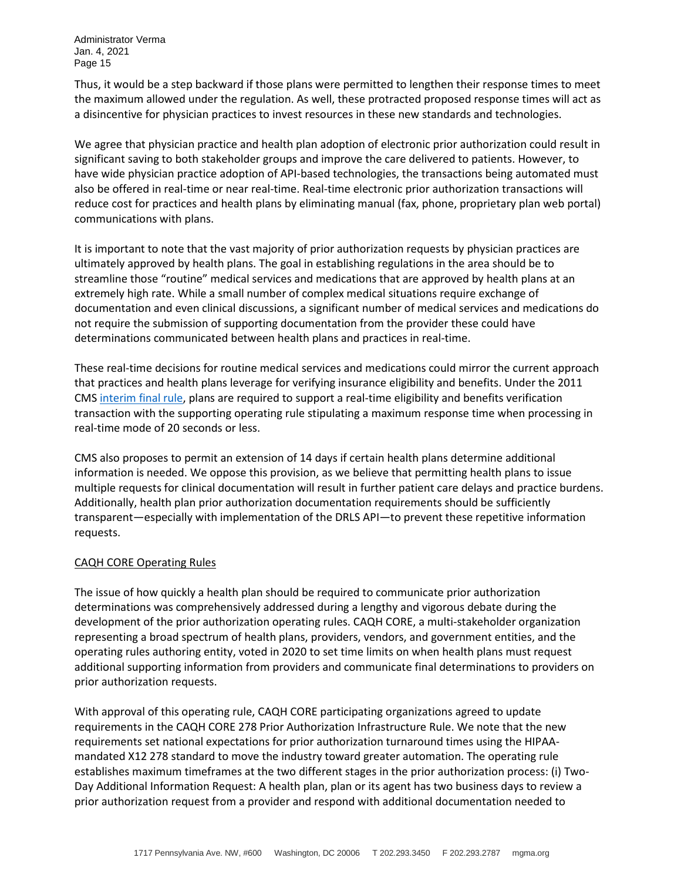Thus, it would be a step backward if those plans were permitted to lengthen their response times to meet the maximum allowed under the regulation. As well, these protracted proposed response times will act as a disincentive for physician practices to invest resources in these new standards and technologies.

We agree that physician practice and health plan adoption of electronic prior authorization could result in significant saving to both stakeholder groups and improve the care delivered to patients. However, to have wide physician practice adoption of API-based technologies, the transactions being automated must also be offered in real-time or near real-time. Real-time electronic prior authorization transactions will reduce cost for practices and health plans by eliminating manual (fax, phone, proprietary plan web portal) communications with plans.

It is important to note that the vast majority of prior authorization requests by physician practices are ultimately approved by health plans. The goal in establishing regulations in the area should be to streamline those "routine" medical services and medications that are approved by health plans at an extremely high rate. While a small number of complex medical situations require exchange of documentation and even clinical discussions, a significant number of medical services and medications do not require the submission of supporting documentation from the provider these could have determinations communicated between health plans and practices in real-time.

These real-time decisions for routine medical services and medications could mirror the current approach that practices and health plans leverage for verifying insurance eligibility and benefits. Under the 2011 CMS [interim final rule,](https://www.govinfo.gov/content/pkg/FR-2011-07-08/pdf/2011-16834.pdf) plans are required to support a real-time eligibility and benefits verification transaction with the supporting operating rule stipulating a maximum response time when processing in real-time mode of 20 seconds or less.

CMS also proposes to permit an extension of 14 days if certain health plans determine additional information is needed. We oppose this provision, as we believe that permitting health plans to issue multiple requests for clinical documentation will result in further patient care delays and practice burdens. Additionally, health plan prior authorization documentation requirements should be sufficiently transparent—especially with implementation of the DRLS API—to prevent these repetitive information requests.

# CAQH CORE Operating Rules

The issue of how quickly a health plan should be required to communicate prior authorization determinations was comprehensively addressed during a lengthy and vigorous debate during the development of the prior authorization operating rules. CAQH CORE, a multi-stakeholder organization representing a broad spectrum of health plans, providers, vendors, and government entities, and the operating rules authoring entity, voted in 2020 to set time limits on when health plans must request additional supporting information from providers and communicate final determinations to providers on prior authorization requests.

With approval of this operating rule, CAQH CORE participating organizations agreed to update requirements in the CAQH CORE 278 Prior Authorization Infrastructure Rule. We note that the new requirements set national expectations for prior authorization turnaround times using the HIPAAmandated X12 278 standard to move the industry toward greater automation. The operating rule establishes maximum timeframes at the two different stages in the prior authorization process: (i) Two-Day Additional Information Request: A health plan, plan or its agent has two business days to review a prior authorization request from a provider and respond with additional documentation needed to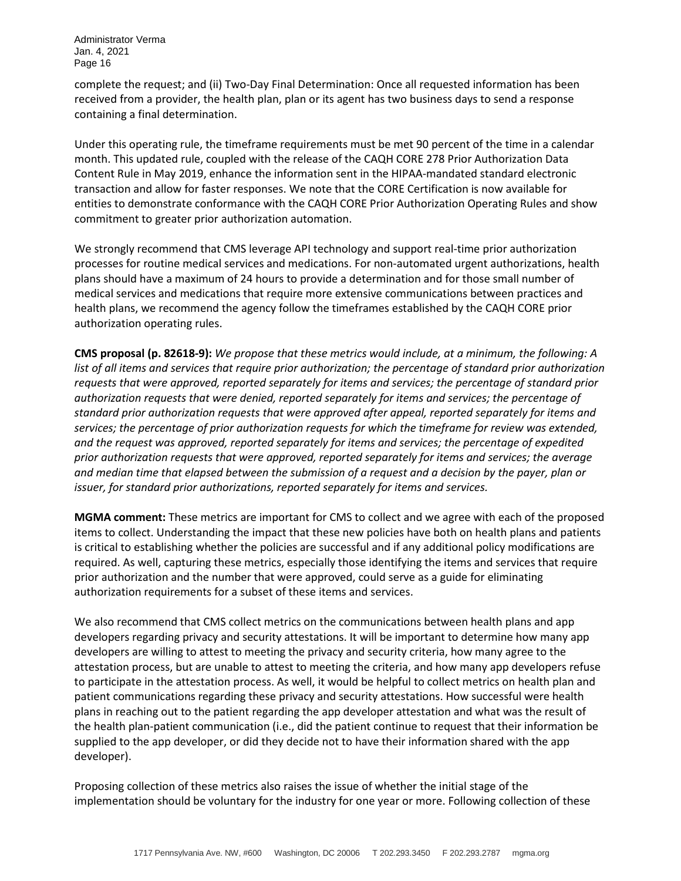complete the request; and (ii) Two-Day Final Determination: Once all requested information has been received from a provider, the health plan, plan or its agent has two business days to send a response containing a final determination.

Under this operating rule, the timeframe requirements must be met 90 percent of the time in a calendar month. This updated rule, coupled with the release of the CAQH CORE 278 Prior Authorization Data Content Rule in May 2019, enhance the information sent in the HIPAA-mandated standard electronic transaction and allow for faster responses. We note that the CORE Certification is now available for entities to demonstrate conformance with the CAQH CORE Prior Authorization Operating Rules and show commitment to greater prior authorization automation.

We strongly recommend that CMS leverage API technology and support real-time prior authorization processes for routine medical services and medications. For non-automated urgent authorizations, health plans should have a maximum of 24 hours to provide a determination and for those small number of medical services and medications that require more extensive communications between practices and health plans, we recommend the agency follow the timeframes established by the CAQH CORE prior authorization operating rules.

**CMS proposal (p. 82618-9):** *We propose that these metrics would include, at a minimum, the following: A list of all items and services that require prior authorization; the percentage of standard prior authorization requests that were approved, reported separately for items and services; the percentage of standard prior authorization requests that were denied, reported separately for items and services; the percentage of standard prior authorization requests that were approved after appeal, reported separately for items and services; the percentage of prior authorization requests for which the timeframe for review was extended, and the request was approved, reported separately for items and services; the percentage of expedited prior authorization requests that were approved, reported separately for items and services; the average and median time that elapsed between the submission of a request and a decision by the payer, plan or issuer, for standard prior authorizations, reported separately for items and services.*

**MGMA comment:** These metrics are important for CMS to collect and we agree with each of the proposed items to collect. Understanding the impact that these new policies have both on health plans and patients is critical to establishing whether the policies are successful and if any additional policy modifications are required. As well, capturing these metrics, especially those identifying the items and services that require prior authorization and the number that were approved, could serve as a guide for eliminating authorization requirements for a subset of these items and services.

We also recommend that CMS collect metrics on the communications between health plans and app developers regarding privacy and security attestations. It will be important to determine how many app developers are willing to attest to meeting the privacy and security criteria, how many agree to the attestation process, but are unable to attest to meeting the criteria, and how many app developers refuse to participate in the attestation process. As well, it would be helpful to collect metrics on health plan and patient communications regarding these privacy and security attestations. How successful were health plans in reaching out to the patient regarding the app developer attestation and what was the result of the health plan-patient communication (i.e., did the patient continue to request that their information be supplied to the app developer, or did they decide not to have their information shared with the app developer).

Proposing collection of these metrics also raises the issue of whether the initial stage of the implementation should be voluntary for the industry for one year or more. Following collection of these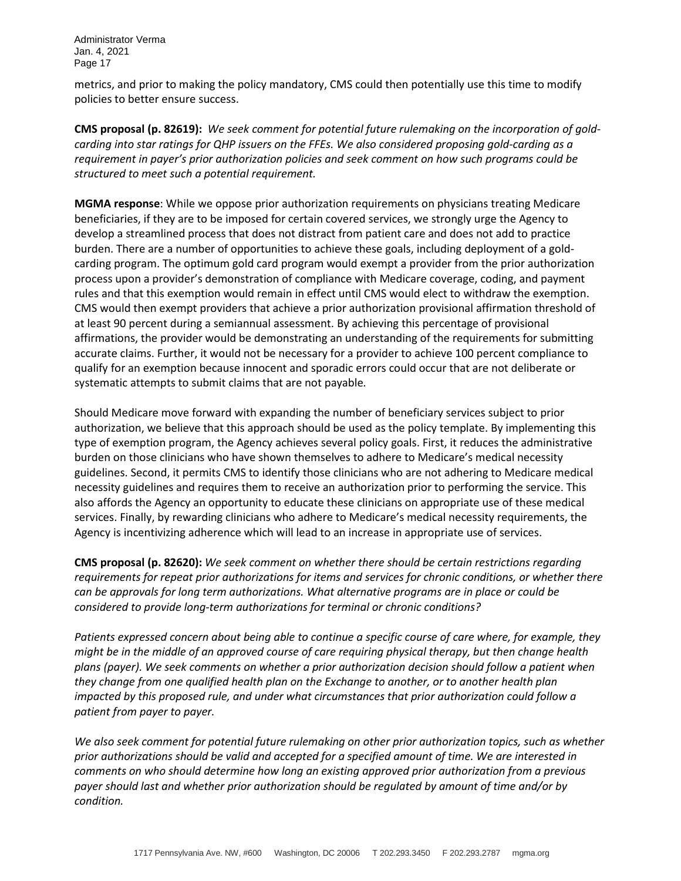metrics, and prior to making the policy mandatory, CMS could then potentially use this time to modify policies to better ensure success.

**CMS proposal (p. 82619):** *We seek comment for potential future rulemaking on the incorporation of goldcarding into star ratings for QHP issuers on the FFEs. We also considered proposing gold-carding as a requirement in payer's prior authorization policies and seek comment on how such programs could be structured to meet such a potential requirement.*

**MGMA response**: While we oppose prior authorization requirements on physicians treating Medicare beneficiaries, if they are to be imposed for certain covered services, we strongly urge the Agency to develop a streamlined process that does not distract from patient care and does not add to practice burden. There are a number of opportunities to achieve these goals, including deployment of a goldcarding program. The optimum gold card program would exempt a provider from the prior authorization process upon a provider's demonstration of compliance with Medicare coverage, coding, and payment rules and that this exemption would remain in effect until CMS would elect to withdraw the exemption. CMS would then exempt providers that achieve a prior authorization provisional affirmation threshold of at least 90 percent during a semiannual assessment. By achieving this percentage of provisional affirmations, the provider would be demonstrating an understanding of the requirements for submitting accurate claims. Further, it would not be necessary for a provider to achieve 100 percent compliance to qualify for an exemption because innocent and sporadic errors could occur that are not deliberate or systematic attempts to submit claims that are not payable*.*

Should Medicare move forward with expanding the number of beneficiary services subject to prior authorization, we believe that this approach should be used as the policy template. By implementing this type of exemption program, the Agency achieves several policy goals. First, it reduces the administrative burden on those clinicians who have shown themselves to adhere to Medicare's medical necessity guidelines. Second, it permits CMS to identify those clinicians who are not adhering to Medicare medical necessity guidelines and requires them to receive an authorization prior to performing the service. This also affords the Agency an opportunity to educate these clinicians on appropriate use of these medical services. Finally, by rewarding clinicians who adhere to Medicare's medical necessity requirements, the Agency is incentivizing adherence which will lead to an increase in appropriate use of services.

**CMS proposal (p. 82620):** *We seek comment on whether there should be certain restrictions regarding requirements for repeat prior authorizations for items and services for chronic conditions, or whether there can be approvals for long term authorizations. What alternative programs are in place or could be considered to provide long-term authorizations for terminal or chronic conditions?*

*Patients expressed concern about being able to continue a specific course of care where, for example, they might be in the middle of an approved course of care requiring physical therapy, but then change health plans (payer). We seek comments on whether a prior authorization decision should follow a patient when they change from one qualified health plan on the Exchange to another, or to another health plan impacted by this proposed rule, and under what circumstances that prior authorization could follow a patient from payer to payer.*

*We also seek comment for potential future rulemaking on other prior authorization topics, such as whether prior authorizations should be valid and accepted for a specified amount of time. We are interested in comments on who should determine how long an existing approved prior authorization from a previous payer should last and whether prior authorization should be regulated by amount of time and/or by condition.*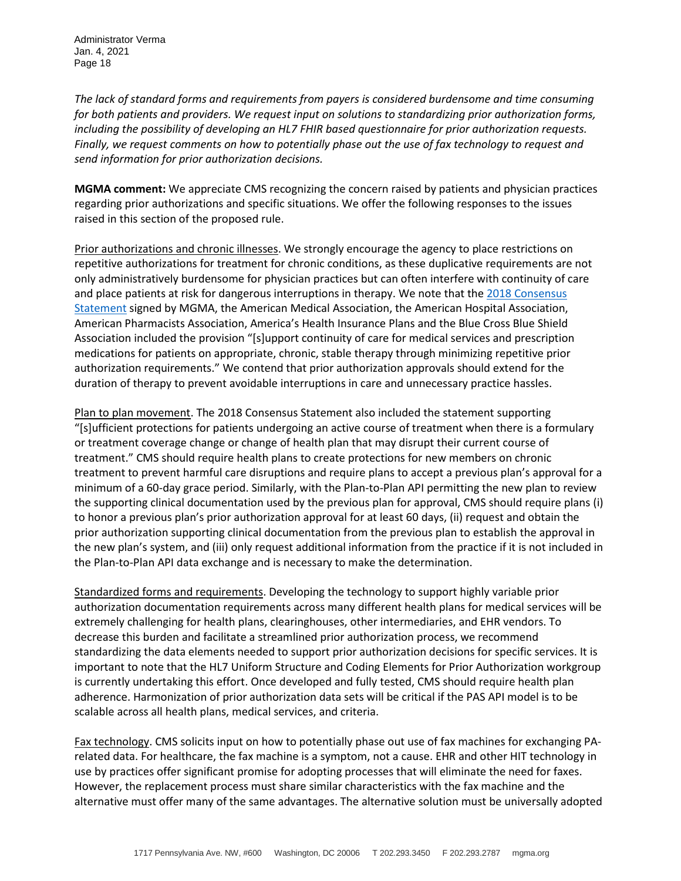*The lack of standard forms and requirements from payers is considered burdensome and time consuming for both patients and providers. We request input on solutions to standardizing prior authorization forms, including the possibility of developing an HL7 FHIR based questionnaire for prior authorization requests. Finally, we request comments on how to potentially phase out the use of fax technology to request and send information for prior authorization decisions.*

**MGMA comment:** We appreciate CMS recognizing the concern raised by patients and physician practices regarding prior authorizations and specific situations. We offer the following responses to the issues raised in this section of the proposed rule.

Prior authorizations and chronic illnesses. We strongly encourage the agency to place restrictions on repetitive authorizations for treatment for chronic conditions, as these duplicative requirements are not only administratively burdensome for physician practices but can often interfere with continuity of care and place patients at risk for dangerous interruptions in therapy. We note that th[e 2018 Consensus](https://www.mgma.com/MGMA/media/files/advocacy%20letters/PA-consensus-statement.pdf?ext=.pdf)  [Statement](https://www.mgma.com/MGMA/media/files/advocacy%20letters/PA-consensus-statement.pdf?ext=.pdf) signed by MGMA, the American Medical Association, the American Hospital Association, American Pharmacists Association, America's Health Insurance Plans and the Blue Cross Blue Shield Association included the provision "[s]upport continuity of care for medical services and prescription medications for patients on appropriate, chronic, stable therapy through minimizing repetitive prior authorization requirements." We contend that prior authorization approvals should extend for the duration of therapy to prevent avoidable interruptions in care and unnecessary practice hassles.

Plan to plan movement. The 2018 Consensus Statement also included the statement supporting "[s]ufficient protections for patients undergoing an active course of treatment when there is a formulary or treatment coverage change or change of health plan that may disrupt their current course of treatment." CMS should require health plans to create protections for new members on chronic treatment to prevent harmful care disruptions and require plans to accept a previous plan's approval for a minimum of a 60-day grace period. Similarly, with the Plan-to-Plan API permitting the new plan to review the supporting clinical documentation used by the previous plan for approval, CMS should require plans (i) to honor a previous plan's prior authorization approval for at least 60 days, (ii) request and obtain the prior authorization supporting clinical documentation from the previous plan to establish the approval in the new plan's system, and (iii) only request additional information from the practice if it is not included in the Plan-to-Plan API data exchange and is necessary to make the determination.

Standardized forms and requirements. Developing the technology to support highly variable prior authorization documentation requirements across many different health plans for medical services will be extremely challenging for health plans, clearinghouses, other intermediaries, and EHR vendors. To decrease this burden and facilitate a streamlined prior authorization process, we recommend standardizing the data elements needed to support prior authorization decisions for specific services. It is important to note that the HL7 Uniform Structure and Coding Elements for Prior Authorization workgroup is currently undertaking this effort. Once developed and fully tested, CMS should require health plan adherence. Harmonization of prior authorization data sets will be critical if the PAS API model is to be scalable across all health plans, medical services, and criteria.

Fax technology. CMS solicits input on how to potentially phase out use of fax machines for exchanging PArelated data. For healthcare, the fax machine is a symptom, not a cause. EHR and other HIT technology in use by practices offer significant promise for adopting processes that will eliminate the need for faxes. However, the replacement process must share similar characteristics with the fax machine and the alternative must offer many of the same advantages. The alternative solution must be universally adopted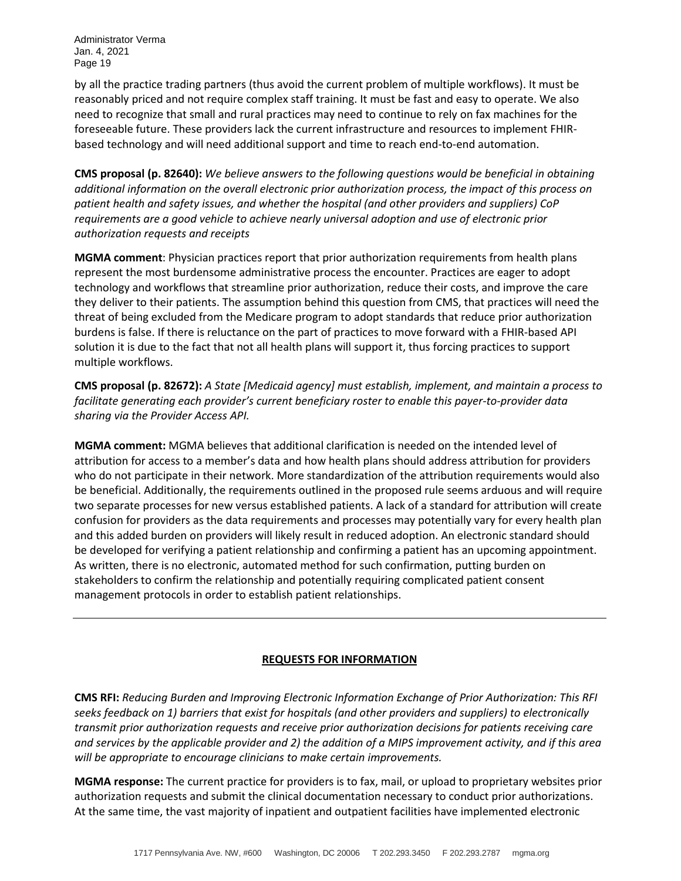by all the practice trading partners (thus avoid the current problem of multiple workflows). It must be reasonably priced and not require complex staff training. It must be fast and easy to operate. We also need to recognize that small and rural practices may need to continue to rely on fax machines for the foreseeable future. These providers lack the current infrastructure and resources to implement FHIRbased technology and will need additional support and time to reach end-to-end automation.

**CMS proposal (p. 82640):** *We believe answers to the following questions would be beneficial in obtaining additional information on the overall electronic prior authorization process, the impact of this process on patient health and safety issues, and whether the hospital (and other providers and suppliers) CoP requirements are a good vehicle to achieve nearly universal adoption and use of electronic prior authorization requests and receipts*

**MGMA comment**: Physician practices report that prior authorization requirements from health plans represent the most burdensome administrative process the encounter. Practices are eager to adopt technology and workflows that streamline prior authorization, reduce their costs, and improve the care they deliver to their patients. The assumption behind this question from CMS, that practices will need the threat of being excluded from the Medicare program to adopt standards that reduce prior authorization burdens is false. If there is reluctance on the part of practices to move forward with a FHIR-based API solution it is due to the fact that not all health plans will support it, thus forcing practices to support multiple workflows.

**CMS proposal (p. 82672):** *A State [Medicaid agency] must establish, implement, and maintain a process to facilitate generating each provider's current beneficiary roster to enable this payer-to-provider data sharing via the Provider Access API.*

**MGMA comment:** MGMA believes that additional clarification is needed on the intended level of attribution for access to a member's data and how health plans should address attribution for providers who do not participate in their network. More standardization of the attribution requirements would also be beneficial. Additionally, the requirements outlined in the proposed rule seems arduous and will require two separate processes for new versus established patients. A lack of a standard for attribution will create confusion for providers as the data requirements and processes may potentially vary for every health plan and this added burden on providers will likely result in reduced adoption. An electronic standard should be developed for verifying a patient relationship and confirming a patient has an upcoming appointment. As written, there is no electronic, automated method for such confirmation, putting burden on stakeholders to confirm the relationship and potentially requiring complicated patient consent management protocols in order to establish patient relationships.

# **REQUESTS FOR INFORMATION**

**CMS RFI:** *Reducing Burden and Improving Electronic Information Exchange of Prior Authorization: This RFI seeks feedback on 1) barriers that exist for hospitals (and other providers and suppliers) to electronically transmit prior authorization requests and receive prior authorization decisions for patients receiving care and services by the applicable provider and 2) the addition of a MIPS improvement activity, and if this area will be appropriate to encourage clinicians to make certain improvements.*

**MGMA response:** The current practice for providers is to fax, mail, or upload to proprietary websites prior authorization requests and submit the clinical documentation necessary to conduct prior authorizations. At the same time, the vast majority of inpatient and outpatient facilities have implemented electronic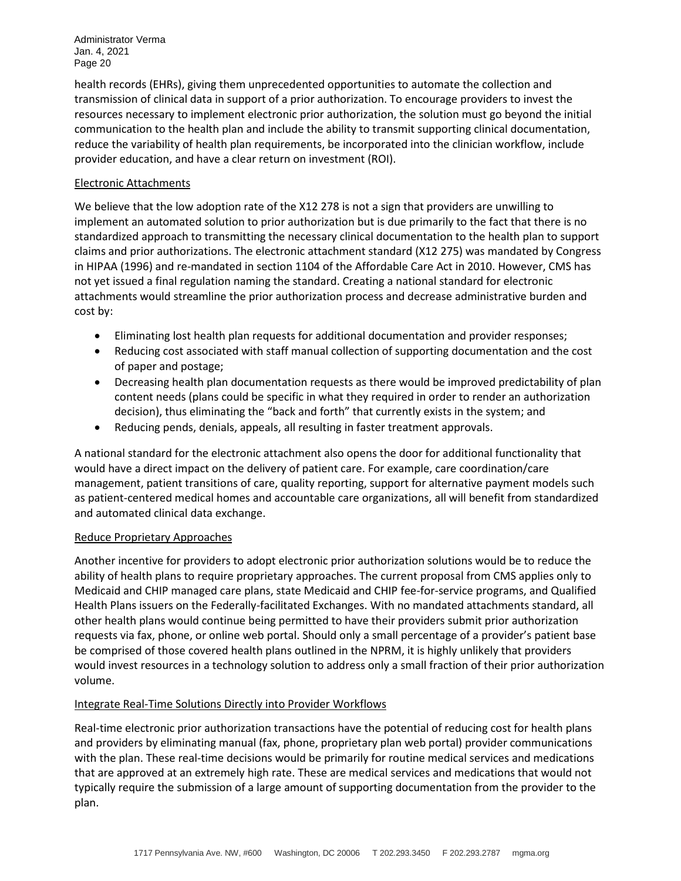health records (EHRs), giving them unprecedented opportunities to automate the collection and transmission of clinical data in support of a prior authorization. To encourage providers to invest the resources necessary to implement electronic prior authorization, the solution must go beyond the initial communication to the health plan and include the ability to transmit supporting clinical documentation, reduce the variability of health plan requirements, be incorporated into the clinician workflow, include provider education, and have a clear return on investment (ROI).

# Electronic Attachments

We believe that the low adoption rate of the X12 278 is not a sign that providers are unwilling to implement an automated solution to prior authorization but is due primarily to the fact that there is no standardized approach to transmitting the necessary clinical documentation to the health plan to support claims and prior authorizations. The electronic attachment standard (X12 275) was mandated by Congress in HIPAA (1996) and re-mandated in section 1104 of the Affordable Care Act in 2010. However, CMS has not yet issued a final regulation naming the standard. Creating a national standard for electronic attachments would streamline the prior authorization process and decrease administrative burden and cost by:

- Eliminating lost health plan requests for additional documentation and provider responses;
- Reducing cost associated with staff manual collection of supporting documentation and the cost of paper and postage;
- Decreasing health plan documentation requests as there would be improved predictability of plan content needs (plans could be specific in what they required in order to render an authorization decision), thus eliminating the "back and forth" that currently exists in the system; and
- Reducing pends, denials, appeals, all resulting in faster treatment approvals.

A national standard for the electronic attachment also opens the door for additional functionality that would have a direct impact on the delivery of patient care. For example, care coordination/care management, patient transitions of care, quality reporting, support for alternative payment models such as patient-centered medical homes and accountable care organizations, all will benefit from standardized and automated clinical data exchange.

# Reduce Proprietary Approaches

Another incentive for providers to adopt electronic prior authorization solutions would be to reduce the ability of health plans to require proprietary approaches. The current proposal from CMS applies only to Medicaid and CHIP managed care plans, state Medicaid and CHIP fee-for-service programs, and Qualified Health Plans issuers on the Federally-facilitated Exchanges. With no mandated attachments standard, all other health plans would continue being permitted to have their providers submit prior authorization requests via fax, phone, or online web portal. Should only a small percentage of a provider's patient base be comprised of those covered health plans outlined in the NPRM, it is highly unlikely that providers would invest resources in a technology solution to address only a small fraction of their prior authorization volume.

#### Integrate Real-Time Solutions Directly into Provider Workflows

Real-time electronic prior authorization transactions have the potential of reducing cost for health plans and providers by eliminating manual (fax, phone, proprietary plan web portal) provider communications with the plan. These real-time decisions would be primarily for routine medical services and medications that are approved at an extremely high rate. These are medical services and medications that would not typically require the submission of a large amount of supporting documentation from the provider to the plan.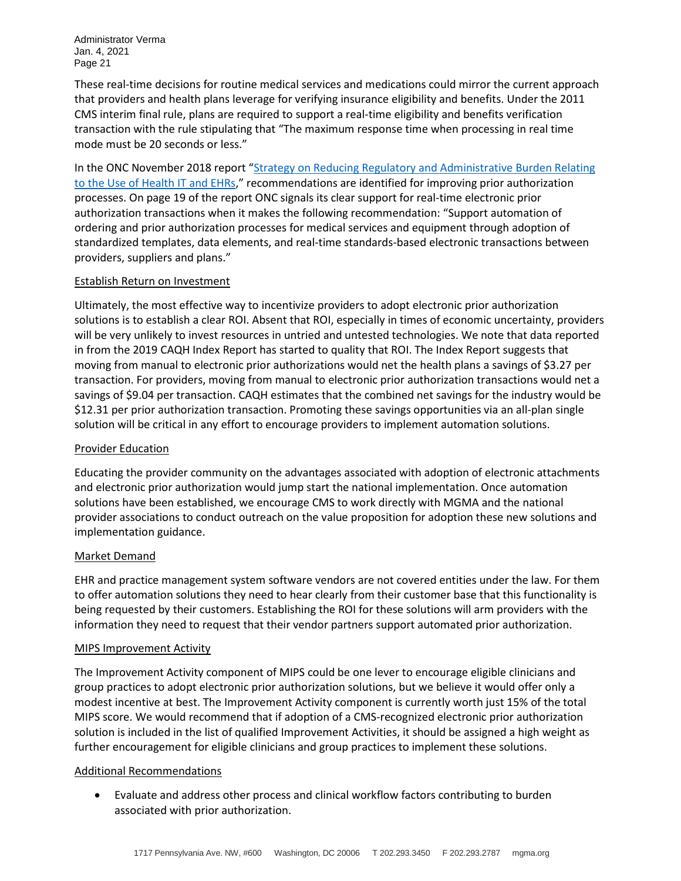These real-time decisions for routine medical services and medications could mirror the current approach that providers and health plans leverage for verifying insurance eligibility and benefits. Under the 2011 CMS interim final rule, plans are required to support a real-time eligibility and benefits verification transaction with the rule stipulating that "The maximum response time when processing in real time mode must be 20 seconds or less."

In the ONC November 2018 report "Strategy on Reducing Regulatory and Administrative Burden Relating [to the Use of Health IT and EHRs,](https://www.healthit.gov/topic/usability-and-provider-burden/strategy-reducing-burden-relating-use-health-it-and-ehrs)" recommendations are identified for improving prior authorization processes. On page 19 of the report ONC signals its clear support for real-time electronic prior authorization transactions when it makes the following recommendation: "Support automation of ordering and prior authorization processes for medical services and equipment through adoption of standardized templates, data elements, and real-time standards-based electronic transactions between providers, suppliers and plans."

# Establish Return on Investment

Ultimately, the most effective way to incentivize providers to adopt electronic prior authorization solutions is to establish a clear ROI. Absent that ROI, especially in times of economic uncertainty, providers will be very unlikely to invest resources in untried and untested technologies. We note that data reported in from the 2019 CAQH Index Report has started to quality that ROI. The Index Report suggests that moving from manual to electronic prior authorizations would net the health plans a savings of \$3.27 per transaction. For providers, moving from manual to electronic prior authorization transactions would net a savings of \$9.04 per transaction. CAQH estimates that the combined net savings for the industry would be \$12.31 per prior authorization transaction. Promoting these savings opportunities via an all-plan single solution will be critical in any effort to encourage providers to implement automation solutions.

#### Provider Education

Educating the provider community on the advantages associated with adoption of electronic attachments and electronic prior authorization would jump start the national implementation. Once automation solutions have been established, we encourage CMS to work directly with MGMA and the national provider associations to conduct outreach on the value proposition for adoption these new solutions and implementation guidance.

#### Market Demand

EHR and practice management system software vendors are not covered entities under the law. For them to offer automation solutions they need to hear clearly from their customer base that this functionality is being requested by their customers. Establishing the ROI for these solutions will arm providers with the information they need to request that their vendor partners support automated prior authorization.

#### MIPS Improvement Activity

The Improvement Activity component of MIPS could be one lever to encourage eligible clinicians and group practices to adopt electronic prior authorization solutions, but we believe it would offer only a modest incentive at best. The Improvement Activity component is currently worth just 15% of the total MIPS score. We would recommend that if adoption of a CMS-recognized electronic prior authorization solution is included in the list of qualified Improvement Activities, it should be assigned a high weight as further encouragement for eligible clinicians and group practices to implement these solutions.

#### Additional Recommendations

• Evaluate and address other process and clinical workflow factors contributing to burden associated with prior authorization.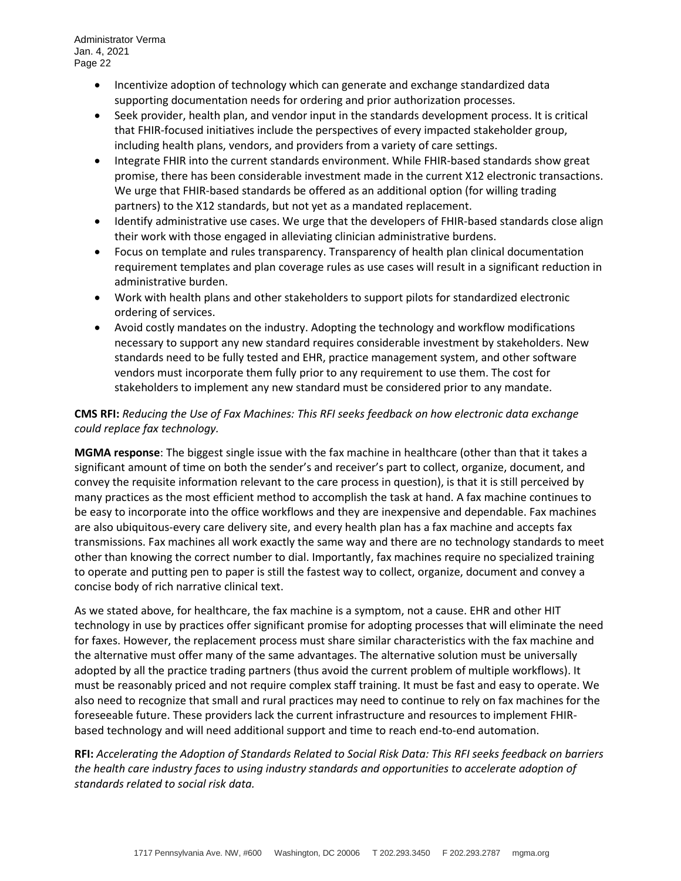- Incentivize adoption of technology which can generate and exchange standardized data supporting documentation needs for ordering and prior authorization processes.
- Seek provider, health plan, and vendor input in the standards development process. It is critical that FHIR-focused initiatives include the perspectives of every impacted stakeholder group, including health plans, vendors, and providers from a variety of care settings.
- Integrate FHIR into the current standards environment. While FHIR-based standards show great promise, there has been considerable investment made in the current X12 electronic transactions. We urge that FHIR-based standards be offered as an additional option (for willing trading partners) to the X12 standards, but not yet as a mandated replacement.
- Identify administrative use cases. We urge that the developers of FHIR-based standards close align their work with those engaged in alleviating clinician administrative burdens.
- Focus on template and rules transparency. Transparency of health plan clinical documentation requirement templates and plan coverage rules as use cases will result in a significant reduction in administrative burden.
- Work with health plans and other stakeholders to support pilots for standardized electronic ordering of services.
- Avoid costly mandates on the industry. Adopting the technology and workflow modifications necessary to support any new standard requires considerable investment by stakeholders. New standards need to be fully tested and EHR, practice management system, and other software vendors must incorporate them fully prior to any requirement to use them. The cost for stakeholders to implement any new standard must be considered prior to any mandate.

# **CMS RFI:** *Reducing the Use of Fax Machines: This RFI seeks feedback on how electronic data exchange could replace fax technology.*

**MGMA response**: The biggest single issue with the fax machine in healthcare (other than that it takes a significant amount of time on both the sender's and receiver's part to collect, organize, document, and convey the requisite information relevant to the care process in question), is that it is still perceived by many practices as the most efficient method to accomplish the task at hand. A fax machine continues to be easy to incorporate into the office workflows and they are inexpensive and dependable. Fax machines are also ubiquitous-every care delivery site, and every health plan has a fax machine and accepts fax transmissions. Fax machines all work exactly the same way and there are no technology standards to meet other than knowing the correct number to dial. Importantly, fax machines require no specialized training to operate and putting pen to paper is still the fastest way to collect, organize, document and convey a concise body of rich narrative clinical text.

As we stated above, for healthcare, the fax machine is a symptom, not a cause. EHR and other HIT technology in use by practices offer significant promise for adopting processes that will eliminate the need for faxes. However, the replacement process must share similar characteristics with the fax machine and the alternative must offer many of the same advantages. The alternative solution must be universally adopted by all the practice trading partners (thus avoid the current problem of multiple workflows). It must be reasonably priced and not require complex staff training. It must be fast and easy to operate. We also need to recognize that small and rural practices may need to continue to rely on fax machines for the foreseeable future. These providers lack the current infrastructure and resources to implement FHIRbased technology and will need additional support and time to reach end-to-end automation.

**RFI:** *Accelerating the Adoption of Standards Related to Social Risk Data: This RFI seeks feedback on barriers the health care industry faces to using industry standards and opportunities to accelerate adoption of standards related to social risk data.*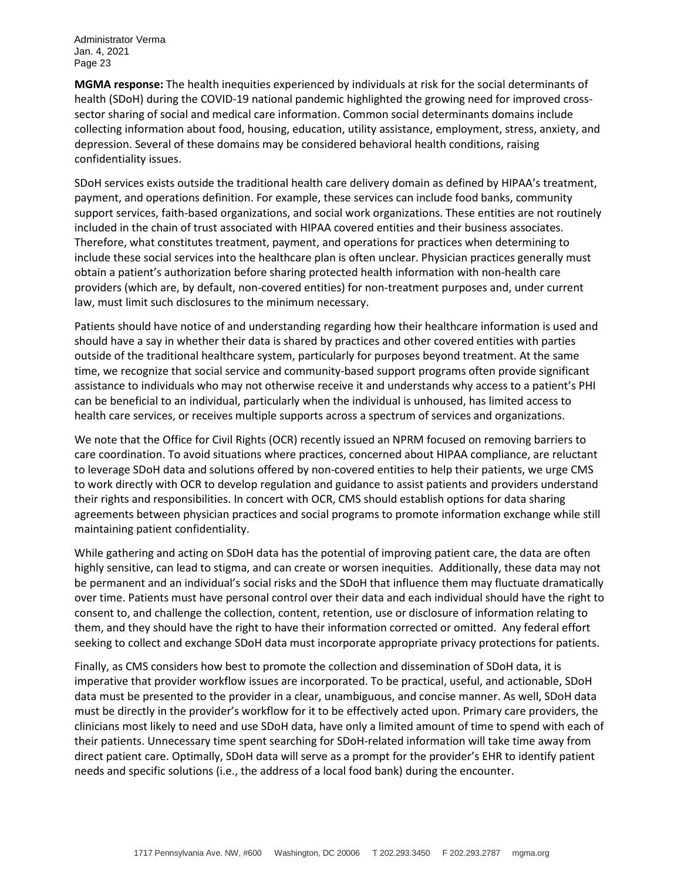**MGMA response:** The health inequities experienced by individuals at risk for the social determinants of health (SDoH) during the COVID-19 national pandemic highlighted the growing need for improved crosssector sharing of social and medical care information. Common social determinants domains include collecting information about food, housing, education, utility assistance, employment, stress, anxiety, and depression. Several of these domains may be considered behavioral health conditions, raising confidentiality issues.

SDoH services exists outside the traditional health care delivery domain as defined by HIPAA's treatment, payment, and operations definition. For example, these services can include food banks, community support services, faith-based organizations, and social work organizations. These entities are not routinely included in the chain of trust associated with HIPAA covered entities and their business associates. Therefore, what constitutes treatment, payment, and operations for practices when determining to include these social services into the healthcare plan is often unclear. Physician practices generally must obtain a patient's authorization before sharing protected health information with non-health care providers (which are, by default, non-covered entities) for non-treatment purposes and, under current law, must limit such disclosures to the minimum necessary.

Patients should have notice of and understanding regarding how their healthcare information is used and should have a say in whether their data is shared by practices and other covered entities with parties outside of the traditional healthcare system, particularly for purposes beyond treatment. At the same time, we recognize that social service and community-based support programs often provide significant assistance to individuals who may not otherwise receive it and understands why access to a patient's PHI can be beneficial to an individual, particularly when the individual is unhoused, has limited access to health care services, or receives multiple supports across a spectrum of services and organizations.

We note that the Office for Civil Rights (OCR) recently issued an NPRM focused on removing barriers to care coordination. To avoid situations where practices, concerned about HIPAA compliance, are reluctant to leverage SDoH data and solutions offered by non-covered entities to help their patients, we urge CMS to work directly with OCR to develop regulation and guidance to assist patients and providers understand their rights and responsibilities. In concert with OCR, CMS should establish options for data sharing agreements between physician practices and social programs to promote information exchange while still maintaining patient confidentiality.

While gathering and acting on SDoH data has the potential of improving patient care, the data are often highly sensitive, can lead to stigma, and can create or worsen inequities. Additionally, these data may not be permanent and an individual's social risks and the SDoH that influence them may fluctuate dramatically over time. Patients must have personal control over their data and each individual should have the right to consent to, and challenge the collection, content, retention, use or disclosure of information relating to them, and they should have the right to have their information corrected or omitted. Any federal effort seeking to collect and exchange SDoH data must incorporate appropriate privacy protections for patients.

Finally, as CMS considers how best to promote the collection and dissemination of SDoH data, it is imperative that provider workflow issues are incorporated. To be practical, useful, and actionable, SDoH data must be presented to the provider in a clear, unambiguous, and concise manner. As well, SDoH data must be directly in the provider's workflow for it to be effectively acted upon. Primary care providers, the clinicians most likely to need and use SDoH data, have only a limited amount of time to spend with each of their patients. Unnecessary time spent searching for SDoH-related information will take time away from direct patient care. Optimally, SDoH data will serve as a prompt for the provider's EHR to identify patient needs and specific solutions (i.e., the address of a local food bank) during the encounter.